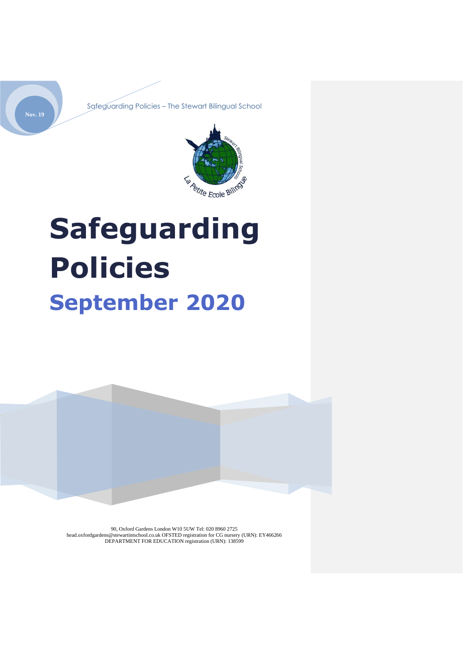



# **Safeguarding Policies September 2020**



90, Oxford Gardens London W10 5UW Tel: 020 8960 2725 head.oxfordgardens@stewartintschool.co.uk OFSTED registration for CG nursery (URN): EY466266 DEPARTMENT FOR EDUCATION registration (URN): 138599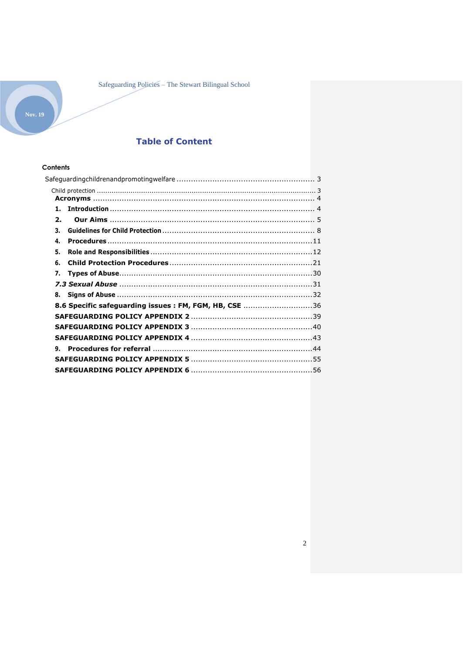## **Table of Content**

## Contents

<span id="page-1-0"></span>

| 1.                                                    |  |
|-------------------------------------------------------|--|
| $\mathbf{2}$                                          |  |
| З.                                                    |  |
| 4.                                                    |  |
| 5.                                                    |  |
| 6.                                                    |  |
| 7.                                                    |  |
|                                                       |  |
| 8.                                                    |  |
| 8.6 Specific safeguarding issues: FM, FGM, HB, CSE 36 |  |
|                                                       |  |
|                                                       |  |
|                                                       |  |
| 9.                                                    |  |
|                                                       |  |
|                                                       |  |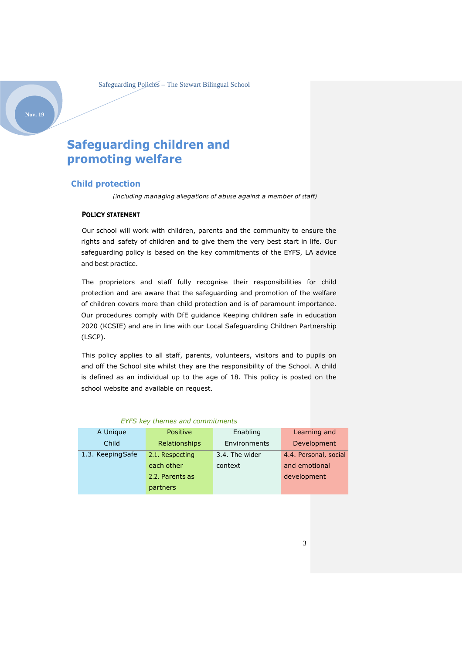## **Safeguarding children and promoting welfare**

### <span id="page-2-0"></span>**Child protection**

*(Including managing allegations of abuse against a member of staff)*

## **POLICY STATEMENT**

Our school will work with children, parents and the community to ensure the rights and safety of children and to give them the very best start in life. Our safeguarding policy is based on the key commitments of the EYFS, LA advice and best practice.

The proprietors and staff fully recognise their responsibilities for child protection and are aware that the safeguarding and promotion of the welfare of children covers more than child protection and is of paramount importance. Our procedures comply with DfE guidance Keeping children safe in education 2020 (KCSIE) and are in line with our Local Safeguarding Children Partnership (LSCP).

This policy applies to all staff, parents, volunteers, visitors and to pupils on and off the School site whilst they are the responsibility of the School. A child is defined as an individual up to the age of 18. This policy is posted on the school website and available on request.

| A Unique          | <b>Positive</b> | Enabling            | Learning and          |
|-------------------|-----------------|---------------------|-----------------------|
| Child             | Relationships   | <b>Environments</b> | Development           |
| 1.3. Keeping Safe | 2.1. Respecting | 3.4. The wider      | 4.4. Personal, social |
|                   | each other      | context             | and emotional         |
|                   | 2.2. Parents as |                     | development           |
|                   | partners        |                     |                       |

#### *EYFS key themes and commitments*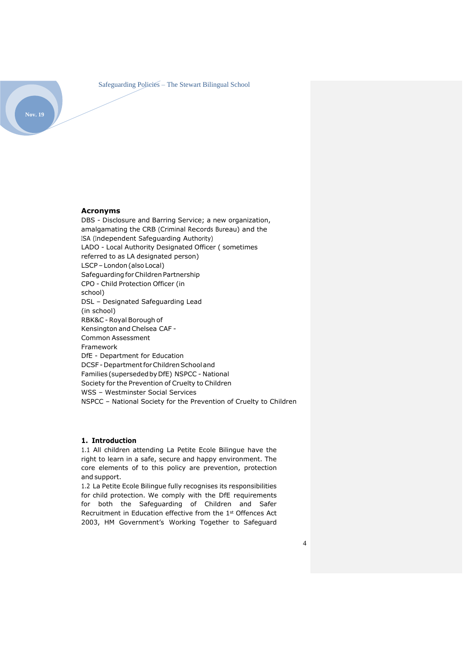

## <span id="page-3-0"></span>**Acronyms**

DBS - Disclosure and Barring Service; a new organization, amalgamating the CRB (Criminal Records Bureau) and the ISA (Independent Safeguarding Authority) LADO - Local Authority Designated Officer ( sometimes referred to as LA designated person) LSCP –London(also Local) Safeguarding for Children Partnership CPO - Child Protection Officer (in school) DSL – Designated Safeguarding Lead (in school) RBK&C - Royal Borough of Kensington and Chelsea CAF - Common Assessment Framework DfE - Department for Education DCSF - Department for Children School and Families (supersededbyDfE) NSPCC - National Society for the Prevention of Cruelty to Children WSS – Westminster Social Services NSPCC – National Society for the Prevention of Cruelty to Children

#### <span id="page-3-1"></span>**1. Introduction**

1.1 All children attending La Petite Ecole Bilingue have the right to learn in a safe, secure and happy environment. The core elements of to this policy are prevention, protection and support.

1.2 La Petite Ecole Bilingue fully recognises its responsibilities for child protection. We comply with the DfE requirements for both the Safeguarding of Children and Safer Recruitment in Education effective from the 1st Offences Act 2003, HM Government's Working Together to Safeguard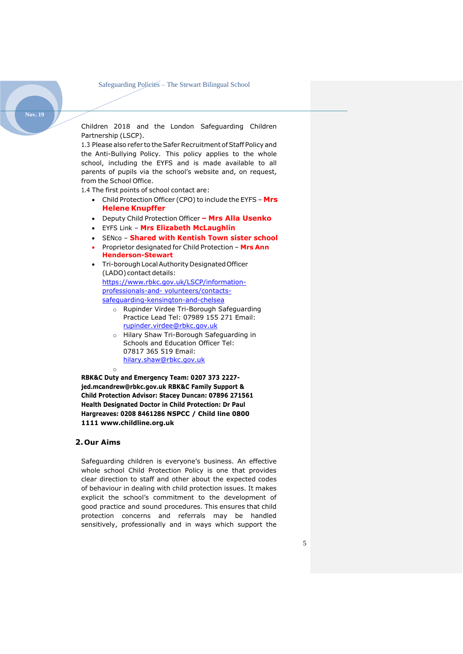Children 2018 and the London Safeguarding Children Partnership (LSCP).

1.3 Please also refer to the Safer Recruitment of Staff Policy and the Anti-Bullying Policy. This policy applies to the whole school, including the EYFS and is made available to all parents of pupils via the school's website and, on request, from the School Office.

1.4 The first points of school contact are:

- Child Protection Officer (CPO) to include the EYFS **Mrs Helene Knupffer**
- Deputy Child Protection Officer **– Mrs Alla Usenko**
- EYFS Link **Mrs Elizabeth McLaughlin**
- SENco **Shared with Kentish Town sister school**
- Proprietor designated for Child Protection **Mrs Ann Henderson-Stewart**
- Tri-boroughLocalAuthorityDesignatedOfficer (LADO) contact details: [https://www.rbkc.gov.uk/LSCP/information](https://www.rbkc.gov.uk/lscb/information-professionals-and-volunteers/contacts-safeguarding-kensington-and-chelsea)[professionals-and-](https://www.rbkc.gov.uk/lscb/information-professionals-and-volunteers/contacts-safeguarding-kensington-and-chelsea) [volunteers/contacts](https://www.rbkc.gov.uk/lscb/information-professionals-and-volunteers/contacts-safeguarding-kensington-and-chelsea)[safeguarding-kensington-and-chelsea](https://www.rbkc.gov.uk/lscb/information-professionals-and-volunteers/contacts-safeguarding-kensington-and-chelsea)
	- o Rupinder Virdee Tri-Borough Safeguarding Practice Lead Tel: 07989 155 271 Email: [rupinder.virdee@rbkc.gov.uk](mailto:rupinder.virdee@rbkc.gov.uk)
	- o Hilary Shaw Tri-Borough Safeguarding in Schools and Education Officer Tel: 07817 365 519 Email: [hilary.shaw@rbkc.gov.uk](mailto:hilary.shaw@rbkc.gov.uk)

**RBK&C Duty and Emergency Team: 0207 373 2227 [jed.mcandrew@rbkc.gov.uk](mailto:jed.mcandrew@rbkc.gov.uk) RBK&C Family Support & Child Protection Advisor: Stacey Duncan: 07896 271561 Health Designated Doctor in Child Protection: Dr Paul Hargreaves: 0208 8461286 NSPCC / Child line 0800 1111 [www.childline.org.uk](http://www.childline.org.uk/)**

## <span id="page-4-0"></span>**2.Our Aims**

o

Safeguarding children is everyone's business. An effective whole school Child Protection Policy is one that provides clear direction to staff and other about the expected codes of behaviour in dealing with child protection issues. It makes explicit the school's commitment to the development of good practice and sound procedures. This ensures that child protection concerns and referrals may be handled sensitively, professionally and in ways which support the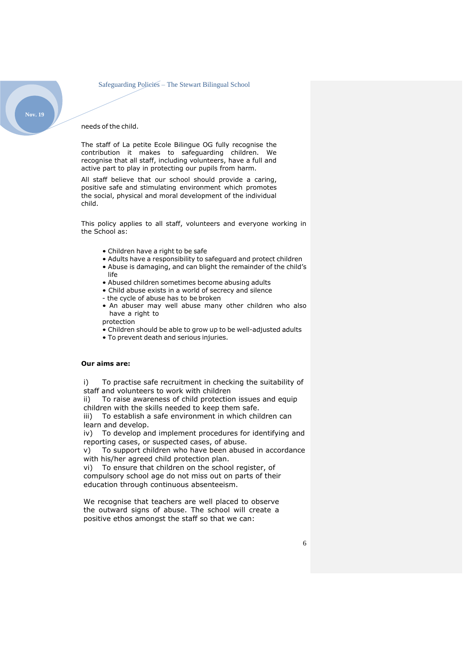needs of the child.

The staff of La petite Ecole Bilingue OG fully recognise the contribution it makes to safeguarding children. We recognise that all staff, including volunteers, have a full and active part to play in protecting our pupils from harm.

All staff believe that our school should provide a caring, positive safe and stimulating environment which promotes the social, physical and moral development of the individual child.

This policy applies to all staff, volunteers and everyone working in the School as:

- Children have a right to be safe
- Adults have a responsibility to safeguard and protect children
- Abuse is damaging, and can blight the remainder of the child's life
- Abused children sometimes become abusing adults
- Child abuse exists in a world of secrecy and silence
- the cycle of abuse has to be broken
- An abuser may well abuse many other children who also have a right to

protection

- Children should be able to grow up to be well-adjusted adults
- To prevent death and serious injuries.

#### **Our aims are:**

i) To practise safe recruitment in checking the suitability of staff and volunteers to work with children

ii) To raise awareness of child protection issues and equip children with the skills needed to keep them safe.

iii) To establish a safe environment in which children can learn and develop.

iv) To develop and implement procedures for identifying and reporting cases, or suspected cases, of abuse.

v) To support children who have been abused in accordance with his/her agreed child protection plan.

vi) To ensure that children on the school register, of compulsory school age do not miss out on parts of their education through continuous absenteeism.

We recognise that teachers are well placed to observe the outward signs of abuse. The school will create a positive ethos amongst the staff so that we can: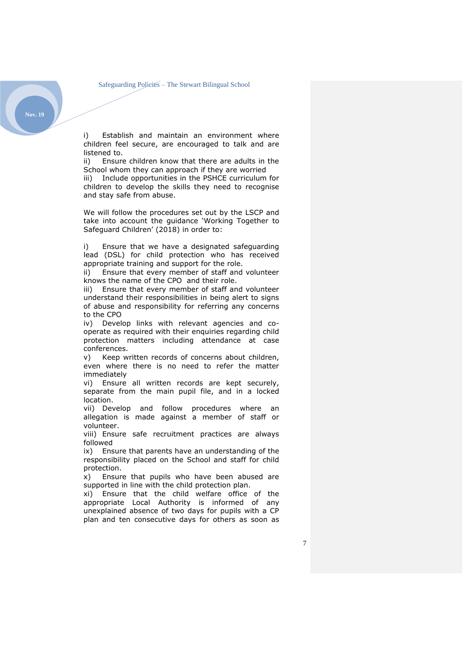**Nov. 19**

i) Establish and maintain an environment where children feel secure, are encouraged to talk and are listened to.

ii) Ensure children know that there are adults in the School whom they can approach if they are worried iii) Include opportunities in the PSHCE curriculum for children to develop the skills they need to recognise and stay safe from abuse.

We will follow the procedures set out by the LSCP and take into account the guidance 'Working Together to Safeguard Children' (2018) in order to:

i) Ensure that we have a designated safeguarding lead (DSL) for child protection who has received appropriate training and support for the role.

ii) Ensure that every member of staff and volunteer knows the name of the CPO and their role.

iii) Ensure that every member of staff and volunteer understand their responsibilities in being alert to signs of abuse and responsibility for referring any concerns to the CPO

iv) Develop links with relevant agencies and cooperate as required with their enquiries regarding child protection matters including attendance at case conferences.

v) Keep written records of concerns about children, even where there is no need to refer the matter immediately

vi) Ensure all written records are kept securely, separate from the main pupil file, and in a locked location.

vii) Develop and follow procedures where an allegation is made against a member of staff or volunteer.

viii) Ensure safe recruitment practices are always followed

ix) Ensure that parents have an understanding of the responsibility placed on the School and staff for child protection.

x) Ensure that pupils who have been abused are supported in line with the child protection plan.

xi) Ensure that the child welfare office of the appropriate Local Authority is informed of any unexplained absence of two days for pupils with a CP plan and ten consecutive days for others as soon as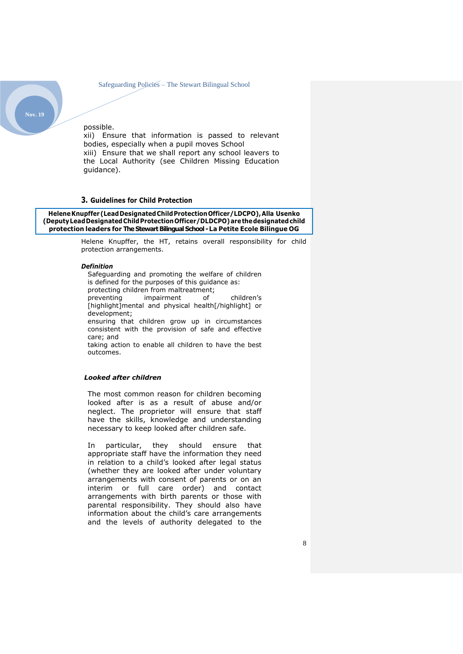possible. xii) Ensure that information is passed to relevant bodies, especially when a pupil moves School xiii) Ensure that we shall report any school leavers to the Local Authority (see Children Missing Education guidance).

#### <span id="page-7-0"></span>**3. Guidelines for Child Protection**

**HeleneKnupffer(LeadDesignatedChildProtectionOfficer/LDCPO),Alla Usenko (DeputyLeadDesignatedChildProtectionOfficer/DLDCPO)arethedesignatedchild protection leaders for The Stewart Bilingual School -La Petite Ecole Bilingue OG**

> Helene Knupffer, the HT, retains overall responsibility for child protection arrangements.

#### *Definition*

Safeguarding and promoting the welfare of children is defined for the purposes of this guidance as: protecting children from maltreatment; preventing impairment of children's [highlight]mental and physical health[/highlight] or development; ensuring that children grow up in circumstances consistent with the provision of safe and effective care; and taking action to enable all children to have the best outcomes.

## *Looked after children*

The most common reason for children becoming looked after is as a result of abuse and/or neglect. The proprietor will ensure that staff have the skills, knowledge and understanding necessary to keep looked after children safe.

In particular, they should ensure that appropriate staff have the information they need in relation to a child's looked after legal status (whether they are looked after under voluntary arrangements with consent of parents or on an interim or full care order) and contact arrangements with birth parents or those with parental responsibility. They should also have information about the child's care arrangements and the levels of authority delegated to the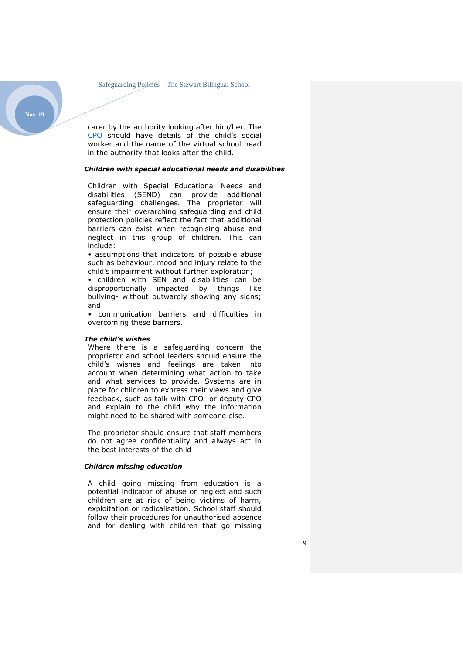carer by the authority looking after him/her. The CPO should have details of the child's social worker and the name of the virtual school head in the authority that looks after the child.

#### *Children with special educational needs and disabilities*

Children with Special Educational Needs and disabilities (SEND) can provide additional safeguarding challenges. The proprietor will ensure their overarching safeguarding and child protection policies reflect the fact that additional barriers can exist when recognising abuse and neglect in this group of children. This can include:

• assumptions that indicators of possible abuse such as behaviour, mood and injury relate to the child's impairment without further exploration;

• children with SEN and disabilities can be disproportionally impacted by things like bullying- without outwardly showing any signs; and

• communication barriers and difficulties in overcoming these barriers.

#### *The child's wishes*

Where there is a safeguarding concern the proprietor and school leaders should ensure the child's wishes and feelings are taken into account when determining what action to take and what services to provide. Systems are in place for children to express their views and give feedback, such as talk with CPO or deputy CPO and explain to the child why the information might need to be shared with someone else.

The proprietor should ensure that staff members do not agree confidentiality and always act in the best interests of the child

#### *Children missing education*

A child going missing from education is a potential indicator of abuse or neglect and such children are at risk of being victims of harm, exploitation or radicalisation. School staff should follow their procedures for unauthorised absence and for dealing with children that go missing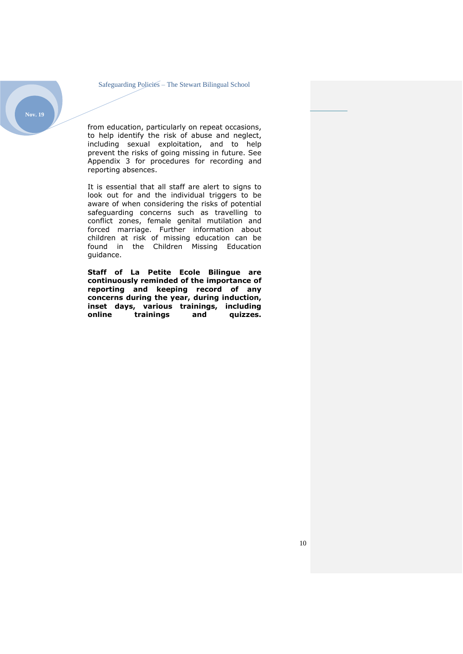

from education, particularly on repeat occasions, to help identify the risk of abuse and neglect, including sexual exploitation, and to help prevent the risks of going missing in future. See Appendix 3 for procedures for recording and reporting absences.

It is essential that all staff are alert to signs to look out for and the individual triggers to be aware of when considering the risks of potential safeguarding concerns such as travelling to conflict zones, female genital mutilation and forced marriage. Further information about children at risk of missing education can be found in the Children Missing Education guidance.

**Staff of La Petite Ecole Bilingue are continuously reminded of the importance of reporting and keeping record of any concerns during the year, during induction, inset days, various trainings, including trainings**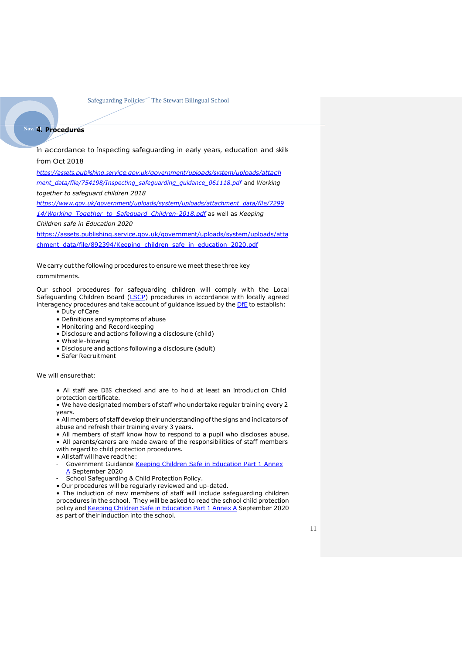## <span id="page-10-0"></span>**Nov. 194. Procedures**

In accordance to Inspecting safeguarding in early years, education and skills from Oct 2018

*[https://assets.publishing.service.gov.uk/government/uploads/system/uploads/attach](https://assets.publishing.service.gov.uk/government/uploads/system/uploads/attachment_data/file/754198/Inspecting_safeguarding_guidance_061118.pdf) [ment\\_data/file/754198/Inspecting\\_safeguarding\\_guidance\\_061118.pdf](https://assets.publishing.service.gov.uk/government/uploads/system/uploads/attachment_data/file/754198/Inspecting_safeguarding_guidance_061118.pdf)* and *Working* 

*together to safeguard children 2018* 

*[https://www.gov.uk/government/uploads/system/uploads/attachment\\_data/file/7299](https://www.gov.uk/government/uploads/system/uploads/attachment_data/file/729914/Working_Together_to_Safeguard_Children-2018.pdf) [14/Working\\_Together\\_to\\_Safeguard\\_Children-2018.pdf](https://www.gov.uk/government/uploads/system/uploads/attachment_data/file/729914/Working_Together_to_Safeguard_Children-2018.pdf)* as well as *Keeping* 

*Children safe in Education 2020*

[https://assets.publishing.service.gov.uk/government/uploads/system/uploads/atta](https://assets.publishing.service.gov.uk/government/uploads/system/uploads/attachment_data/file/892394/Keeping_children_safe_in_education_2020.pdf) [chment\\_data/file/892394/Keeping\\_children\\_safe\\_in\\_education\\_2020.pdf](https://assets.publishing.service.gov.uk/government/uploads/system/uploads/attachment_data/file/892394/Keeping_children_safe_in_education_2020.pdf)

We carry out the following procedures to ensure we meet these three key commitments.

Our school procedures for safeguarding children will comply with the Local Safeguarding Children Board [\(LSCP\)](https://www.rbkc.gov.uk/lscb) procedures in accordance with locally agreed interagency procedures and take account of guidance issued by the [DfE](https://www.gov.uk/government/collections/statutory-guidance-schools#safeguarding-children-and-young-people) to establish:

- Duty of Care
- Definitions and symptoms of abuse
- Monitoring and Record keeping
- Disclosure and actions following a disclosure (child)
- Whistle-blowing
- Disclosure and actions following a disclosure (adult)
- Safer Recruitment

We will ensurethat:

• All staff are DBS checked and are to hold at least an Introduction Child protection certificate.

• We have designated members of staff who undertake regular training every 2 years.

• All members of staff develop their understanding of the signs and indicators of abuse and refresh their training every 3 years.

• All members of staff know how to respond to a pupil who discloses abuse. • All parents/carers are made aware of the responsibilities of staff members

with regard to child protection procedures.

- All staff will have readthe:
- Government Guidance Keeping Children Safe [in Education Part 1 Annex](https://assets.publishing.service.gov.uk/government/uploads/system/uploads/attachment_data/file/835733/Keeping_children_safe_in_education_2019.pdf) [A](https://assets.publishing.service.gov.uk/government/uploads/system/uploads/attachment_data/file/741315/Keeping_Children_Safe_in_Education_2018__Part_One__14.09.18.pdf) September 2020
- School Safeguarding & Child Protection Policy.
- Our procedures will be regularly reviewed and up-dated.

• The induction of new members of staff will include safeguarding children procedures in the school. They will be asked to read the school child protection policy and Keeping Children Safe in [Education](https://assets.publishing.service.gov.uk/government/uploads/system/uploads/attachment_data/file/835733/Keeping_children_safe_in_education_2019.pdf) Part 1 Annex A September 2020 as part of their induction into the school.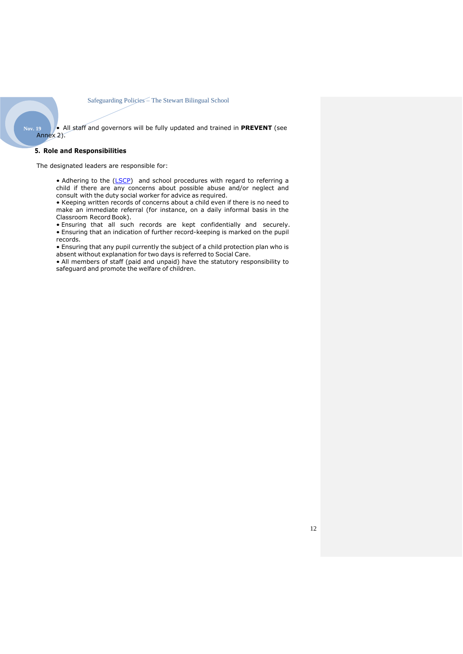<span id="page-11-0"></span>**Nov. 19** • All staff and governors will be fully updated and trained in **PREVENT** (see Annex 2).

#### **5. Role and Responsibilities**

The designated leaders are responsible for:

• Adhering to the [\(LSCP\) a](https://cscb-new.co.uk/)nd school procedures with regard to referring a child if there are any concerns about possible abuse and/or neglect and consult with the duty social worker for advice as required.

• Keeping written records of concerns about a child even if there is no need to make an immediate referral (for instance, on a daily informal basis in the Classroom Record Book).

• Ensuring that all such records are kept confidentially and securely. • Ensuring that an indication of further record-keeping is marked on the pupil records.

• Ensuring that any pupil currently the subject of a child protection plan who is absent without explanation for two days is referred to Social Care.

• All members of staff (paid and unpaid) have the statutory responsibility to safeguard and promote the welfare of children.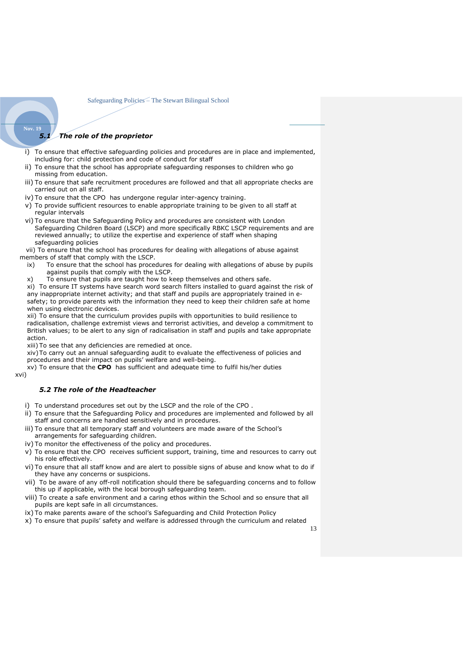## *5.1 The role of the proprietor*

- i) To ensure that effective safeguarding policies and procedures are in place and implemented, including for: child protection and code of conduct for staff
- ii) To ensure that the school has appropriate safeguarding responses to children who go missing from education.
- iii) To ensure that safe recruitment procedures are followed and that all appropriate checks are carried out on all staff.
- iv) To ensure that the CPO has undergone regular inter-agency training.
- v) To provide sufficient resources to enable appropriate training to be given to all staff at regular intervals
- vi) To ensure that the Safeguarding Policy and procedures are consistent with London Safeguarding Children Board (LSCP) and more specifically RBKC LSCP requirements and are reviewed annually; to utilize the expertise and experience of staff when shaping safeguarding policies

 vii) To ensure that the school has procedures for dealing with allegations of abuse against members of staff that comply with the LSCP.

- ix) To ensure that the school has procedures for dealing with allegations of abuse by pupils against pupils that comply with the LSCP.
- x) To ensure that pupils are taught how to keep themselves and others safe.

xi) To ensure IT systems have search word search filters installed to guard against the risk of any inappropriate internet activity; and that staff and pupils are appropriately trained in esafety; to provide parents with the information they need to keep their children safe at home when using electronic devices.

xii) To ensure that the curriculum provides pupils with opportunities to build resilience to radicalisation, challenge extremist views and terrorist activities, and develop a commitment to British values; to be alert to any sign of radicalisation in staff and pupils and take appropriate action.

xiii) To see that any deficiencies are remedied at once.

xiv)To carry out an annual safeguarding audit to evaluate the effectiveness of policies and procedures and their impact on pupils' welfare and well-being.

xv) To ensure that the **CPO** has sufficient and adequate time to fulfil his/her duties

#### xvi)

**Nov. 19**

#### *5.2 The role of the Headteacher*

- i) To understand procedures set out by the LSCP and the role of the CPO .
- ii) To ensure that the Safeguarding Policy and procedures are implemented and followed by all staff and concerns are handled sensitively and in procedures.
- iii) To ensure that all temporary staff and volunteers are made aware of the School's arrangements for safeguarding children.
- iv) To monitor the effectiveness of the policy and procedures.
- v) To ensure that the CPO receives sufficient support, training, time and resources to carry out his role effectively.
- vi) To ensure that all staff know and are alert to possible signs of abuse and know what to do if they have any concerns or suspicions.
- vii) To be aware of any off-roll notification should there be safeguarding concerns and to follow this up if applicable, with the local borough safeguarding team.
- viii) To create a safe environment and a caring ethos within the School and so ensure that all pupils are kept safe in all circumstances.
- ix) To make parents aware of the school's Safeguarding and Child Protection Policy
- x) To ensure that pupils' safety and welfare is addressed through the curriculum and related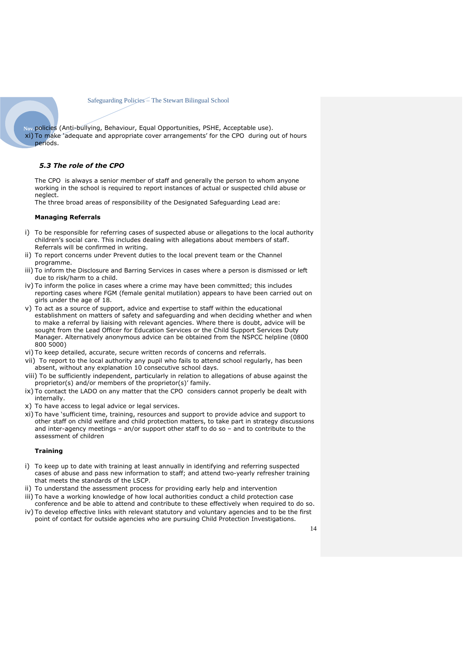**Nov. 19**policies (Anti-bullying, Behaviour, Equal Opportunities, PSHE, Acceptable use). xi) To make 'adequate and appropriate cover arrangements' for the CPO during out of hours periods.

#### *5.3 The role of the CPO*

The CPO is always a senior member of staff and generally the person to whom anyone working in the school is required to report instances of actual or suspected child abuse or neglect.

The three broad areas of responsibility of the Designated Safeguarding Lead are:

#### **Managing Referrals**

- i) To be responsible for referring cases of suspected abuse or allegations to the local authority children's social care. This includes dealing with allegations about members of staff. Referrals will be confirmed in writing.
- ii) To report concerns under Prevent duties to the local prevent team or the Channel programme.
- iii) To inform the Disclosure and Barring Services in cases where a person is dismissed or left due to risk/harm to a child.
- iv) To inform the police in cases where a crime may have been committed; this includes reporting cases where FGM (female genital mutilation) appears to have been carried out on girls under the age of 18.
- v) To act as a source of support, advice and expertise to staff within the educational establishment on matters of safety and safeguarding and when deciding whether and when to make a referral by liaising with relevant agencies. Where there is doubt, advice will be sought from the Lead Officer for Education Services or the Child Support Services Duty Manager. Alternatively anonymous advice can be obtained from the NSPCC helpline (0800 800 5000)
- vi) To keep detailed, accurate, secure written records of concerns and referrals.
- vii) To report to the local authority any pupil who fails to attend school regularly, has been absent, without any explanation 10 consecutive school days.
- viii) To be sufficiently independent, particularly in relation to allegations of abuse against the proprietor(s) and/or members of the proprietor(s)' family.
- ix) To contact the LADO on any matter that the CPO considers cannot properly be dealt with internally.
- x) To have access to legal advice or legal services.
- xi) To have 'sufficient time, training, resources and support to provide advice and support to other staff on child welfare and child protection matters, to take part in strategy discussions and inter-agency meetings – an/or support other staff to do so – and to contribute to the assessment of children

#### **Training**

- i) To keep up to date with training at least annually in identifying and referring suspected cases of abuse and pass new information to staff; and attend two-yearly refresher training that meets the standards of the LSCP.
- ii) To understand the assessment process for providing early help and intervention iii) To have a working knowledge of how local authorities conduct a child protection case
- conference and be able to attend and contribute to these effectively when required to do so. iv) To develop effective links with relevant statutory and voluntary agencies and to be the first
- point of contact for outside agencies who are pursuing Child Protection Investigations.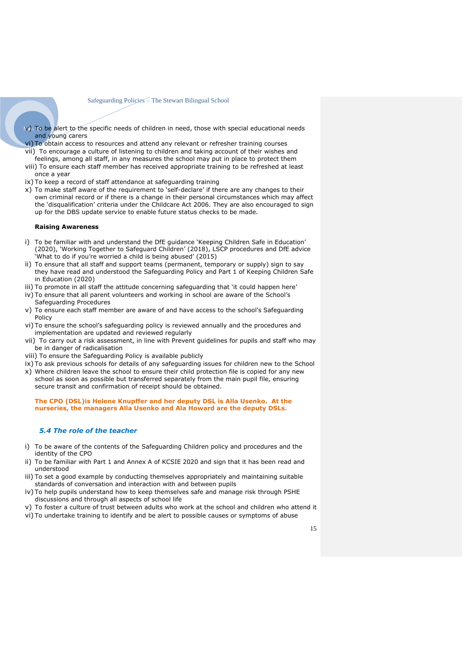- **Nov. 19** v) To be alert to the specific needs of children in need, those with special educational needs and young carers
- vi) To obtain access to resources and attend any relevant or refresher training courses
- vii) To encourage a culture of listening to children and taking account of their wishes and feelings, among all staff, in any measures the school may put in place to protect them
- viii) To ensure each staff member has received appropriate training to be refreshed at least once a year
- ix) To keep a record of staff attendance at safeguarding training
- x) To make staff aware of the requirement to 'self-declare' if there are any changes to their own criminal record or if there is a change in their personal circumstances which may affect the 'disqualification' criteria under the Childcare Act 2006. They are also encouraged to sign up for the DBS update service to enable future status checks to be made.

#### **Raising Awareness**

- i) To be familiar with and understand the DfE guidance 'Keeping Children Safe in Education' (2020), 'Working Together to Safeguard Children' (2018), LSCP procedures and DfE advice 'What to do if you're worried a child is being abused' (2015)
- ii) To ensure that all staff and support teams (permanent, temporary or supply) sign to say they have read and understood the Safeguarding Policy and Part 1 of Keeping Children Safe in Education (2020)
- iii) To promote in all staff the attitude concerning safeguarding that 'it could happen here'
- iv) To ensure that all parent volunteers and working in school are aware of the School's Safeguarding Procedures
- v) To ensure each staff member are aware of and have access to the school's Safeguarding **Policy**
- vi) To ensure the school's safeguarding policy is reviewed annually and the procedures and implementation are updated and reviewed regularly
- vii) To carry out a risk assessment, in line with Prevent guidelines for pupils and staff who may be in danger of radicalisation
- viii) To ensure the Safeguarding Policy is available publicly
- ix) To ask previous schools for details of any safeguarding issues for children new to the School x) Where children leave the school to ensure their child protection file is copied for any new school as soon as possible but transferred separately from the main pupil file, ensuring secure transit and confirmation of receipt should be obtained.

**The CPO (DSL)is Helene Knupffer and her deputy DSL is Alla Usenko. At the nurseries, the managers Alla Usenko and Ala Howard are the deputy DSLs.**

#### *5.4 The role of the teacher*

- i) To be aware of the contents of the Safeguarding Children policy and procedures and the identity of the CPO
- ii) To be familiar with Part 1 and Annex A of KCSIE 2020 and sign that it has been read and understood
- iii) To set a good example by conducting themselves appropriately and maintaining suitable standards of conversation and interaction with and between pupils
- iv) To help pupils understand how to keep themselves safe and manage risk through PSHE discussions and through all aspects of school life
- v) To foster a culture of trust between adults who work at the school and children who attend it
- vi) To undertake training to identify and be alert to possible causes or symptoms of abuse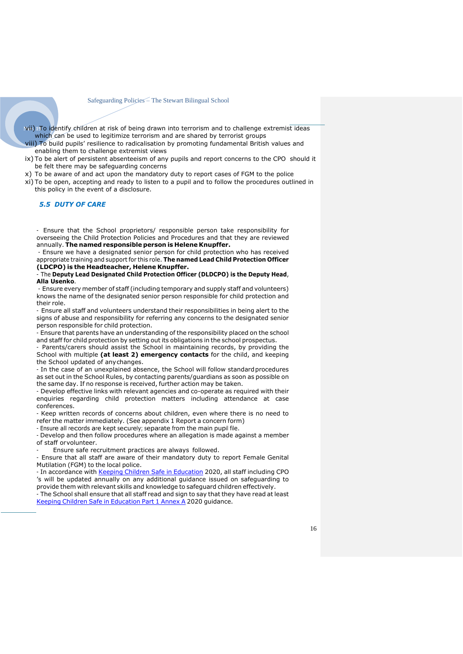- **Nov. 19** vii) To identify children at risk of being drawn into terrorism and to challenge extremist ideas which can be used to legitimize terrorism and are shared by terrorist groups
- viii) To build pupils' resilience to radicalisation by promoting fundamental British values and enabling them to challenge extremist views
- ix) To be alert of persistent absenteeism of any pupils and report concerns to the CPO should it be felt there may be safeguarding concerns
- x) To be aware of and act upon the mandatory duty to report cases of FGM to the police
- xi) To be open, accepting and ready to listen to a pupil and to follow the procedures outlined in this policy in the event of a disclosure.

#### *5.5 DUTY OF CARE*

- Ensure that the School proprietors/ responsible person take responsibility for overseeing the Child Protection Policies and Procedures and that they are reviewed annually. **The named responsible person is Helene Knupffer.**

- Ensure we have a designated senior person for child protection who has received appropriate training and support for this role. **The named Lead Child Protection Officer (LDCPO) is the Headteacher, Helene Knupffer.**

#### - The **Deputy Lead Designated Child Protection Officer (DLDCPO) is the Deputy Head**, **Alla Usenko**.

- Ensure every member of staff (including temporary and supply staff and volunteers) knows the name of the designated senior person responsible for child protection and their role.

- Ensure all staff and volunteers understand their responsibilities in being alert to the signs of abuse and responsibility for referring any concerns to the designated senior person responsible for child protection.

- Ensure that parents have an understanding of the responsibility placed on the school and staff for child protection by setting out its obligations in the school prospectus.

- Parents/carers should assist the School in maintaining records, by providing the School with multiple **(at least 2) emergency contacts** for the child, and keeping the School updated of anychanges.

- In the case of an unexplained absence, the School will follow standard procedures as set out in the School Rules, by contacting parents/guardians as soon as possible on the same day. If no response is received, further action may be taken.

- Develop effective links with relevant agencies and co-operate as required with their enquiries regarding child protection matters including attendance at case conferences.

- Keep written records of concerns about children, even where there is no need to refer the matter immediately. (See appendix 1 Report a concern form)

- Ensure all records are kept securely; separate from the main pupil file.

- Develop and then follow procedures where an allegation is made against a member of staff orvolunteer.

Ensure safe recruitment practices are always followed.

- Ensure that all staff are aware of their mandatory duty to report Female Genital Mutilation (FGM) to the local police.

- In accordance with Keeping Children Safe in [Education](https://assets.publishing.service.gov.uk/government/uploads/system/uploads/attachment_data/file/835733/Keeping_children_safe_in_education_2019.pdf) 2020, all staff including CPO 's will be updated annually on any additional guidance issued on safeguarding to provide them with relevant skills and knowledge to safeguard children effectively.

- The School shall ensure that all staff read and sign to say that they have read at leas[t](https://assets.publishing.service.gov.uk/government/uploads/system/uploads/attachment_data/file/835733/Keeping_children_safe_in_education_2019.pdf) Keeping Children Safe in [Education](https://assets.publishing.service.gov.uk/government/uploads/system/uploads/attachment_data/file/835733/Keeping_children_safe_in_education_2019.pdf) Part 1 Annex A 2020 guidance.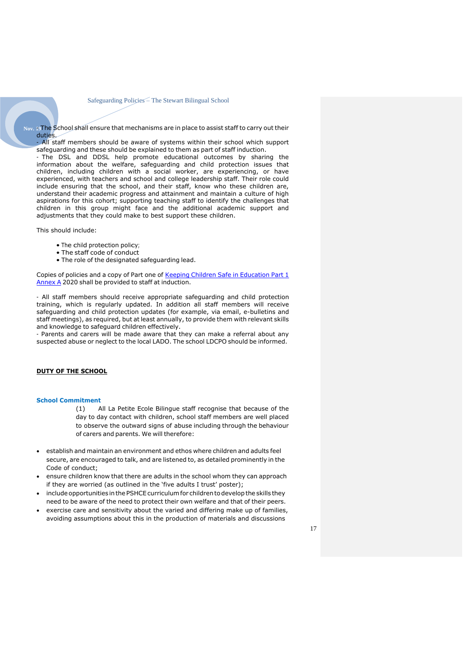Nov. 19The School shall ensure that mechanisms are in place to assist staff to carry out their duties.

All staff members should be aware of systems within their school which support safeguarding and these should be explained to them as part of staff induction.

- The DSL and DDSL help promote educational outcomes by sharing the information about the welfare, safeguarding and child protection issues that children, including children with a social worker, are experiencing, or have experienced, with teachers and school and college leadership staff. Their role could include ensuring that the school, and their staff, know who these children are, understand their academic progress and attainment and maintain a culture of high aspirations for this cohort; supporting teaching staff to identify the challenges that children in this group might face and the additional academic support and adjustments that they could make to best support these children.

This should include:

- The child protection policy;
- The staff code of conduct
- The role of the designated safeguarding lead.

Copies of policies and a copy of Part one of Keeping Children Safe in [Education](hhttps://assets.publishing.service.gov.uk/government/uploads/system/uploads/attachment_data/file/835733/Keeping_children_safe_in_education_2019.pdf) Part 1 [Annex](https://assets.publishing.service.gov.uk/government/uploads/system/uploads/attachment_data/file/741315/Keeping_Children_Safe_in_Education_2018__Part_One__14.09.18.pdf) A 2020 shall be provided to staff at induction.

- All staff members should receive appropriate safeguarding and child protection training, which is regularly updated. In addition all staff members will receive safeguarding and child protection updates (for example, via email, e-bulletins and staff meetings), as required, but at least annually, to provide them with relevant skills and knowledge to safeguard children effectively.

- Parents and carers will be made aware that they can make a referral about any suspected abuse or neglect to the local LADO. The school LDCPO should be informed.

#### **DUTY OF THE SCHOOL**

#### **School Commitment**

- (1) All La Petite Ecole Bilingue staff recognise that because of the day to day contact with children, school staff members are well placed to observe the outward signs of abuse including through the behaviour of carers and parents. We will therefore:
- establish and maintain an environment and ethos where children and adults feel secure, are encouraged to talk, and are listened to, as detailed prominently in the Code of conduct;
- ensure children know that there are adults in the school whom they can approach if they are worried (as outlined in the 'five adults I trust' poster);
- include opportunities in the PSHCE curriculum for children to develop the skills they need to be aware of the need to protect their own welfare and that of their peers.
- exercise care and sensitivity about the varied and differing make up of families, avoiding assumptions about this in the production of materials and discussions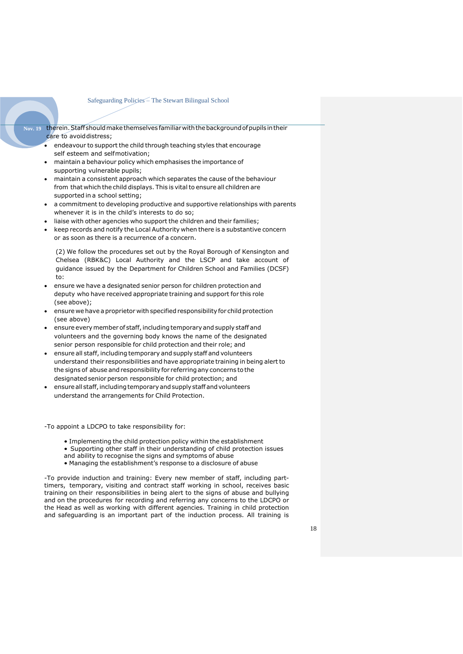- **Nov. 19** therein.Staffshouldmakethemselves familiarwiththebackgroundofpupils intheir care to avoiddistress;
	- endeavour to support the child through teaching styles that encourage self esteem and selfmotivation;
	- maintain a behaviour policy which emphasises the importance of supporting vulnerable pupils;
	- maintain a consistent approach which separates the cause of the behaviour from that which the child displays. This is vital to ensure all children are supported in a school setting;
	- a commitment to developing productive and supportive relationships with parents whenever it is in the child's interests to do so;
	- liaise with other agencies who support the children and their families;
	- keep records and notify the Local Authority when there is a substantive concern or as soon as there is a recurrence of a concern.

(2) We follow the procedures set out by the Royal Borough of Kensington and Chelsea (RBK&C) Local Authority and the LSCP and take account of guidance issued by the Department for Children School and Families (DCSF) to:

- ensure we have a designated senior person for children protection and deputy who have received appropriate training and support for this role (see above);
- ensure we have a proprietor with specified responsibility for child protection (see above)
- ensure every member of staff, including temporary and supply staff and volunteers and the governing body knows the name of the designated senior person responsible for child protection and their role; and
- ensure all staff, including temporary and supply staff and volunteers understand their responsibilities and have appropriate training in being alert to the signs of abuse and responsibility for referring any concerns to the designated senior person responsible for child protection; and
- ensure all staff, including temporary and supply staff and volunteers understand the arrangements for Child Protection.

-To appoint a LDCPO to take responsibility for:

- Implementing the child protection policy within the establishment
- Supporting other staff in their understanding of child protection issues
- and ability to recognise the signs and symptoms of abuse
- Managing the establishment's response to a disclosure of abuse

-To provide induction and training: Every new member of staff, including parttimers, temporary, visiting and contract staff working in school, receives basic training on their responsibilities in being alert to the signs of abuse and bullying and on the procedures for recording and referring any concerns to the LDCPO or the Head as well as working with different agencies. Training in child protection and safeguarding is an important part of the induction process. All training is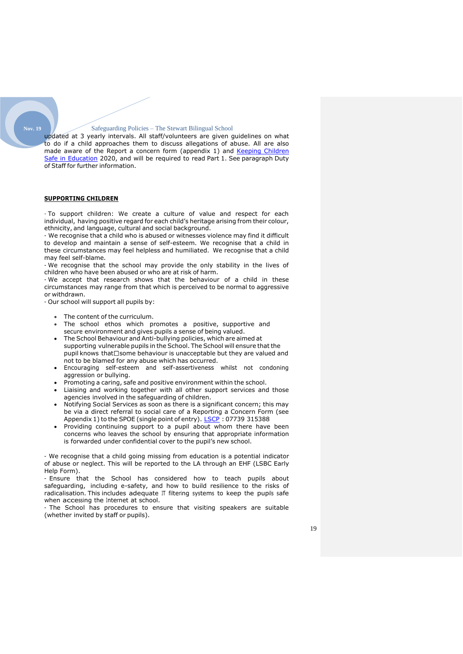updated at 3 yearly intervals. All staff/volunteers are given guidelines on what to do if a child approaches them to discuss allegations of abuse. All are also made aware of the Report a concern form (appendix 1) and Keeping Children [Safe in Education](https://assets.publishing.service.gov.uk/government/uploads/system/uploads/attachment_data/file/741315/Keeping_Children_Safe_in_Education_2018__Part_One__14.09.18.pdf) 2020, and will be required to read Part 1. See paragraph Duty of Staff for further information.

#### **SUPPORTING CHILDREN**

- To support children: We create a culture of value and respect for each individual, having positive regard for each child's heritage arising from their colour, ethnicity, and language, cultural and social background.

- We recognise that a child who is abused or witnesses violence may find it difficult to develop and maintain a sense of self-esteem. We recognise that a child in these circumstances may feel helpless and humiliated. We recognise that a child may feel self-blame.

- We recognise that the school may provide the only stability in the lives of children who have been abused or who are at risk of harm.

- We accept that research shows that the behaviour of a child in these circumstances may range from that which is perceived to be normal to aggressive or withdrawn.

- Our school will support all pupils by:

- The content of the curriculum.
- The school ethos which promotes a positive, supportive and secure environment and gives pupils a sense of being valued.
- The School Behaviour and Anti-bullying policies, which are aimed at supporting vulnerable pupils in the School. The School will ensure that the pupil knows that  $\Box$  some behaviour is unacceptable but they are valued and not to be blamed for any abuse which has occurred.
- Encouraging self-esteem and self-assertiveness whilst not condoning aggression or bullying.
- Promoting a caring, safe and positive environment within the school.
- Liaising and working together with all other support services and those agencies involved in the safeguarding of children.
- Notifying Social Services as soon as there is a significant concern; this may be via a direct referral to social care of a Reporting a Concern Form (see Appendix 1) to the SPOE (single point of entry). [LSCP](https://www.rbkc.gov.uk/lscb): 07739 315388
- Providing continuing support to a pupil about whom there have been concerns who leaves the school by ensuring that appropriate information is forwarded under confidential cover to the pupil's new school.

- We recognise that a child going missing from education is a potential indicator of abuse or neglect. This will be reported to the LA through an EHF (LSBC Early Help Form).

- Ensure that the School has considered how to teach pupils about safeguarding, including e-safety, and how to build resilience to the risks of radicalisation. This includes adequate IT filtering systems to keep the pupils safe when accessing the Internet at school.

- The School has procedures to ensure that visiting speakers are suitable (whether invited by staff or pupils).

19

**Nov. 19**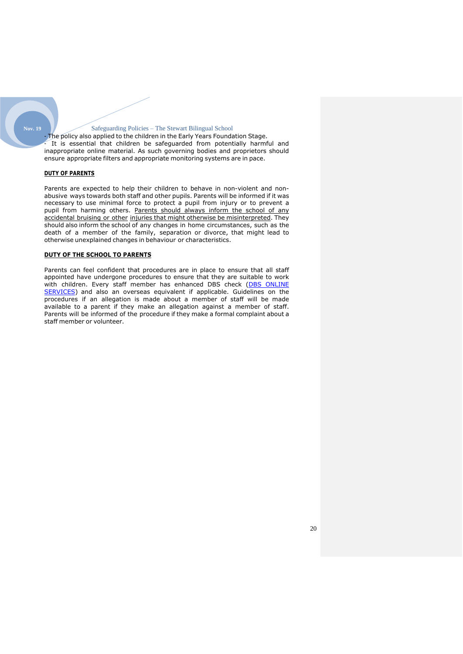#### **Nov. 19**

#### Safeguarding Policies – The Stewart Bilingual School

- The policy also applied to the children in the Early Years Foundation Stage. It is essential that children be safeguarded from potentially harmful and inappropriate online material. As such governing bodies and proprietors should ensure appropriate filters and appropriate monitoring systems are in pace.

#### **DUTY OF PARENTS**

Parents are expected to help their children to behave in non-violent and nonabusive ways towards both staff and other pupils. Parents will be informed if it was necessary to use minimal force to protect a pupil from injury or to prevent a pupil from harming others. Parents should always inform the school of any accidental bruising or other injuries that might otherwise be misinterpreted. They should also inform the school of any changes in home circumstances, such as the death of a member of the family, separation or divorce, that might lead to otherwise unexplained changes in behaviour or characteristics.

#### **DUTY OF THE SCHOOL TO PARENTS**

Parents can feel confident that procedures are in place to ensure that all staff appointed have undergone procedures to ensure that they are suitable to work with children. Every staff member has enhanced DBS check (DBS [ONLINE](https://www.gov.uk/government/news/disclosure-and-barring-service-is-introducing-new-online-services) [SERVICES\)](https://www.gov.uk/government/news/disclosure-and-barring-service-is-introducing-new-online-services) and also an overseas equivalent if applicable. Guidelines on the procedures if an allegation is made about a member of staff will be made available to a parent if they make an allegation against a member of staff. Parents will be informed of the procedure if they make a formal complaint about a staff member or volunteer.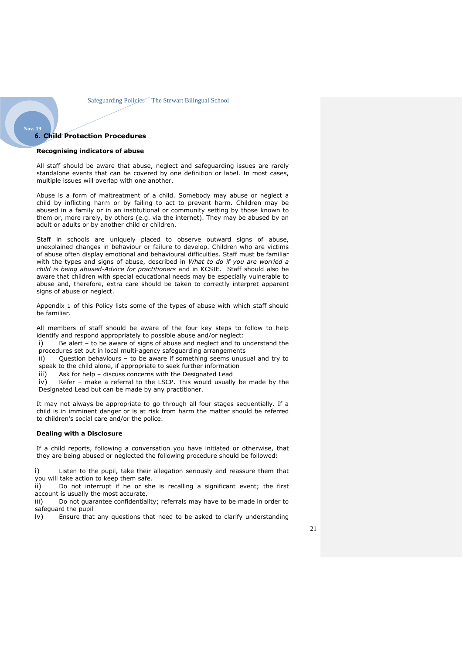#### **6. Child Protection Procedures**

<span id="page-20-0"></span>**Nov. 19**

#### **Recognising indicators of abuse**

All staff should be aware that abuse, neglect and safeguarding issues are rarely standalone events that can be covered by one definition or label. In most cases, multiple issues will overlap with one another.

Abuse is a form of maltreatment of a child. Somebody may abuse or neglect a child by inflicting harm or by failing to act to prevent harm. Children may be abused in a family or in an institutional or community setting by those known to them or, more rarely, by others (e.g. via the internet). They may be abused by an adult or adults or by another child or children.

Staff in schools are uniquely placed to observe outward signs of abuse, unexplained changes in behaviour or failure to develop. Children who are victims of abuse often display emotional and behavioural difficulties. Staff must be familiar with the types and signs of abuse, described in *What to do if you are worried a child is being abused-Advice for practitioners* and in KCSIE*.* Staff should also be aware that children with special educational needs may be especially vulnerable to abuse and, therefore, extra care should be taken to correctly interpret apparent signs of abuse or neglect.

Appendix 1 of this Policy lists some of the types of abuse with which staff should be familiar.

All members of staff should be aware of the four key steps to follow to help identify and respond appropriately to possible abuse and/or neglect:

i) Be alert – to be aware of signs of abuse and neglect and to understand the procedures set out in local multi-agency safeguarding arrangements

ii) Question behaviours – to be aware if something seems unusual and try to speak to the child alone, if appropriate to seek further information

iii) Ask for help – discuss concerns with the Designated Lead

iv) Refer – make a referral to the LSCP. This would usually be made by the Designated Lead but can be made by any practitioner.

It may not always be appropriate to go through all four stages sequentially. If a child is in imminent danger or is at risk from harm the matter should be referred to children's social care and/or the police.

#### **Dealing with a Disclosure**

If a child reports, following a conversation you have initiated or otherwise, that they are being abused or neglected the following procedure should be followed:

i) Listen to the pupil, take their allegation seriously and reassure them that you will take action to keep them safe.

ii) Do not interrupt if he or she is recalling a significant event; the first account is usually the most accurate.

iii) Do not guarantee confidentiality; referrals may have to be made in order to safeguard the pupil

iv) Ensure that any questions that need to be asked to clarify understanding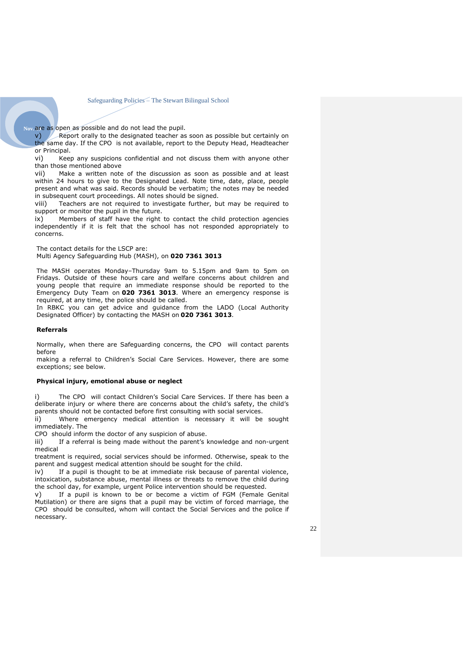Nov. are as open as possible and do not lead the pupil.

 $v$ ) Report orally to the designated teacher as soon as possible but certainly on the same day. If the CPO is not available, report to the Deputy Head, Headteacher or Principal.

vi) Keep any suspicions confidential and not discuss them with anyone other than those mentioned above

vii) Make a written note of the discussion as soon as possible and at least within 24 hours to give to the Designated Lead. Note time, date, place, people present and what was said. Records should be verbatim; the notes may be needed in subsequent court proceedings. All notes should be signed.

viii) Teachers are not required to investigate further, but may be required to support or monitor the pupil in the future.

ix) Members of staff have the right to contact the child protection agencies independently if it is felt that the school has not responded appropriately to concerns.

The contact details for the LSCP are:

Multi Agency Safeguarding Hub (MASH), on **020 7361 3013**

The MASH operates Monday–Thursday 9am to 5.15pm and 9am to 5pm on Fridays. Outside of these hours care and welfare concerns about children and young people that require an immediate response should be reported to the Emergency Duty Team on **020 7361 3013**. Where an emergency response is required, at any time, the police should be called.

In RBKC you can get advice and guidance from the LADO (Local Authority Designated Officer) by contacting the MASH on **020 7361 3013***.*

#### **Referrals**

Normally, when there are Safeguarding concerns, the CPO will contact parents before

making a referral to Children's Social Care Services. However, there are some exceptions; see below.

#### **Physical injury, emotional abuse or neglect**

The CPO will contact Children's Social Care Services. If there has been a deliberate injury or where there are concerns about the child's safety, the child's parents should not be contacted before first consulting with social services.

ii) Where emergency medical attention is necessary it will be sought immediately. The

CPO should inform the doctor of any suspicion of abuse.

iii) If a referral is being made without the parent's knowledge and non-urgent medical

treatment is required, social services should be informed. Otherwise, speak to the parent and suggest medical attention should be sought for the child.

iv) If a pupil is thought to be at immediate risk because of parental violence, intoxication, substance abuse, mental illness or threats to remove the child during the school day, for example, urgent Police intervention should be requested.

v) If a pupil is known to be or become a victim of FGM (Female Genital Mutilation) or there are signs that a pupil may be victim of forced marriage, the CPO should be consulted, whom will contact the Social Services and the police if necessary.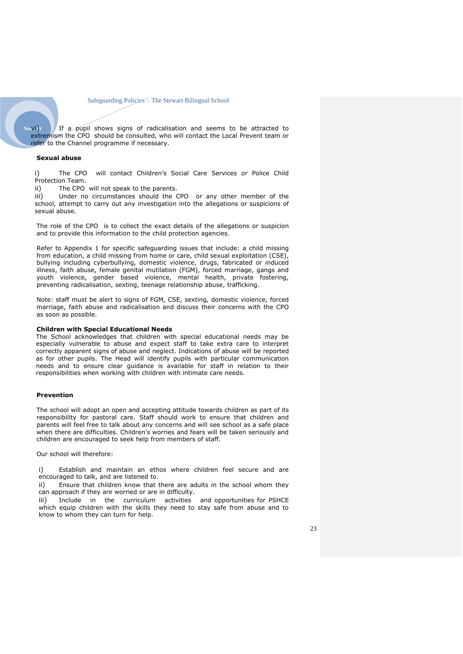Novi) If a pupil shows signs of radicalisation and seems to be attracted to extremism the CPO should be consulted, who will contact the Local Prevent team or refer to the Channel programme if necessary.

#### **Sexual abuse**

i) The CPO will contact Children's Social Care Services or Police Child Protection Team.

ii) The CPO will not speak to the parents.

iii) Under no circumstances should the CPO or any other member of the school, attempt to carry out any investigation into the allegations or suspicions of sexual abuse.

The role of the CPO is to collect the exact details of the allegations or suspicion and to provide this information to the child protection agencies.

Refer to Appendix 1 for specific safeguarding issues that include: a child missing from education, a child missing from home or care, child sexual exploitation (CSE), bullying including cyberbullying, domestic violence, drugs, fabricated or induced illness, faith abuse, female genital mutilation (FGM), forced marriage, gangs and youth violence, gender based violence, mental health, private fostering, preventing radicalisation, sexting, teenage relationship abuse, trafficking.

Note: staff must be alert to signs of FGM, CSE, sexting, domestic violence, forced marriage, faith abuse and radicalisation and discuss their concerns with the CPO as soon as possible.

#### **Children with Special Educational Needs**

The School acknowledges that children with special educational needs may be especially vulnerable to abuse and expect staff to take extra care to interpret correctly apparent signs of abuse and neglect. Indications of abuse will be reported as for other pupils. The Head will identify pupils with particular communication needs and to ensure clear guidance is available for staff in relation to their responsibilities when working with children with intimate care needs.

#### **Prevention**

The school will adopt an open and accepting attitude towards children as part of its responsibility for pastoral care. Staff should work to ensure that children and parents will feel free to talk about any concerns and will see school as a safe place when there are difficulties. Children's worries and fears will be taken seriously and children are encouraged to seek help from members of staff.

Our school will therefore:

i) Establish and maintain an ethos where children feel secure and are encouraged to talk, and are listened to.

ii) Ensure that children know that there are adults in the school whom they can approach if they are worried or are in difficulty.

iii) Include in the curriculum activities and opportunities for PSHCE which equip children with the skills they need to stay safe from abuse and to know to whom they can turn for help.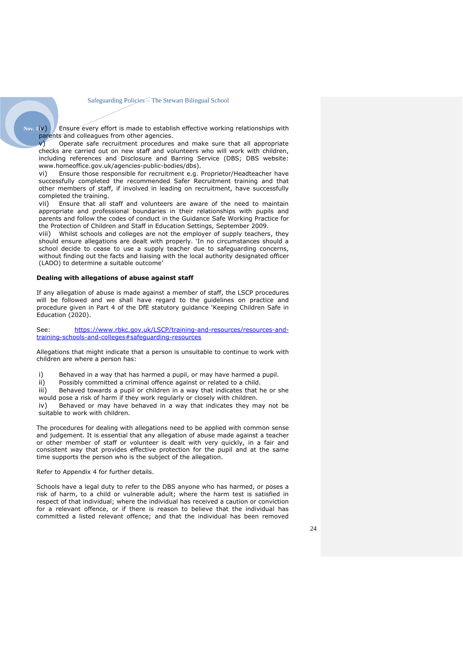Nov. 1**iv)** Ensure every effort is made to establish effective working relationships with parents and colleagues from other agencies.

v) Operate safe recruitment procedures and make sure that all appropriate checks are carried out on new staff and volunteers who will work with children, including references and Disclosure and Barring Service (DBS; DBS website: www.homeoffice.gov.uk/agencies-public-bodies/dbs).

vi) Ensure those responsible for recruitment e.g. Proprietor/Headteacher have successfully completed the recommended Safer Recruitment training and that other members of staff, if involved in leading on recruitment, have successfully completed the training.

vii) Ensure that all staff and volunteers are aware of the need to maintain appropriate and professional boundaries in their relationships with pupils and parents and follow the codes of conduct in the Guidance Safe Working Practice for the Protection of Children and Staff in Education Settings, September 2009.

viii) Whilst schools and colleges are not the employer of supply teachers, they should ensure allegations are dealt with properly. 'In no circumstances should a school decide to cease to use a supply teacher due to safeguarding concerns, without finding out the facts and liaising with the local authority designated officer (LADO) to determine a suitable outcome'

#### **Dealing with allegations of abuse against staff**

If any allegation of abuse is made against a member of staff, the LSCP procedures will be followed and we shall have regard to the guidelines on practice and procedure given in Part 4 of the DfE statutory guidance 'Keeping Children Safe in Education (2020).

See: [https://www.rbkc.gov.uk/LSCP/training-and-resources/resources-and](https://www.rbkc.gov.uk/lscb/training-and-resources/resources-and-training-schools-and-colleges#safeguarding-resources)[training-schools-and-colleges#safeguarding-resources](https://www.rbkc.gov.uk/lscb/training-and-resources/resources-and-training-schools-and-colleges#safeguarding-resources)

Allegations that might indicate that a person is unsuitable to continue to work with children are where a person has:

i) Behaved in a way that has harmed a pupil, or may have harmed a pupil.

ii) Possibly committed a criminal offence against or related to a child.

iii) Behaved towards a pupil or children in a way that indicates that he or she would pose a risk of harm if they work regularly or closely with children.

iv) Behaved or may have behaved in a way that indicates they may not be suitable to work with children.

The procedures for dealing with allegations need to be applied with common sense and judgement. It is essential that any allegation of abuse made against a teacher or other member of staff or volunteer is dealt with very quickly, in a fair and consistent way that provides effective protection for the pupil and at the same time supports the person who is the subject of the allegation.

Refer to Appendix 4 for further details.

Schools have a legal duty to refer to the DBS anyone who has harmed, or poses a risk of harm, to a child or vulnerable adult; where the harm test is satisfied in respect of that individual; where the individual has received a caution or conviction for a relevant offence, or if there is reason to believe that the individual has committed a listed relevant offence; and that the individual has been removed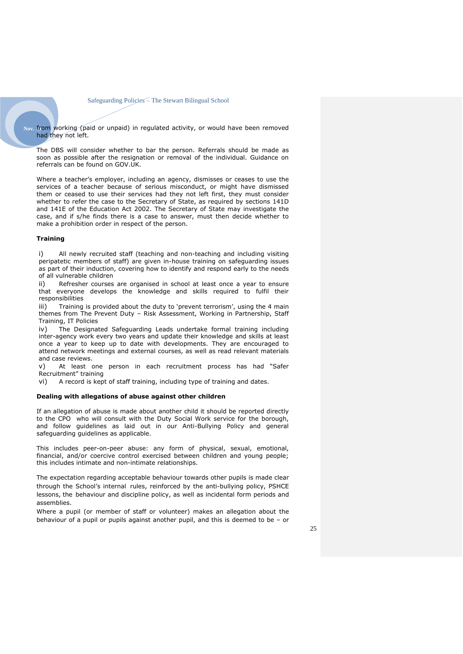Nov. from working (paid or unpaid) in regulated activity, or would have been removed had they not left.

The DBS will consider whether to bar the person. Referrals should be made as soon as possible after the resignation or removal of the individual. Guidance on referrals can be found on GOV.UK.

Where a teacher's employer, including an agency, dismisses or ceases to use the services of a teacher because of serious misconduct, or might have dismissed them or ceased to use their services had they not left first, they must consider whether to refer the case to the Secretary of State, as required by sections 141D and 141E of the Education Act 2002. The Secretary of State may investigate the case, and if s/he finds there is a case to answer, must then decide whether to make a prohibition order in respect of the person.

#### **Training**

i) All newly recruited staff (teaching and non-teaching and including visiting peripatetic members of staff) are given in-house training on safeguarding issues as part of their induction, covering how to identify and respond early to the needs of all vulnerable children

ii) Refresher courses are organised in school at least once a year to ensure that everyone develops the knowledge and skills required to fulfil their responsibilities

iii) Training is provided about the duty to 'prevent terrorism', using the 4 main themes from The Prevent Duty – Risk Assessment, Working in Partnership, Staff Training, IT Policies

iv) The Designated Safeguarding Leads undertake formal training including inter-agency work every two years and update their knowledge and skills at least once a year to keep up to date with developments. They are encouraged to attend network meetings and external courses, as well as read relevant materials and case reviews.

v) At least one person in each recruitment process has had "Safer Recruitment" training

vi) A record is kept of staff training, including type of training and dates.

#### **Dealing with allegations of abuse against other children**

If an allegation of abuse is made about another child it should be reported directly to the CPO who will consult with the Duty Social Work service for the borough, and follow guidelines as laid out in our Anti-Bullying Policy and general safeguarding guidelines as applicable.

This includes peer-on-peer abuse: any form of physical, sexual, emotional, financial, and/or coercive control exercised between children and young people; this includes intimate and non-intimate relationships.

The expectation regarding acceptable behaviour towards other pupils is made clear through the School's internal rules, reinforced by the anti-bullying policy, PSHCE lessons, the behaviour and discipline policy, as well as incidental form periods and assemblies.

Where a pupil (or member of staff or volunteer) makes an allegation about the behaviour of a pupil or pupils against another pupil, and this is deemed to be – or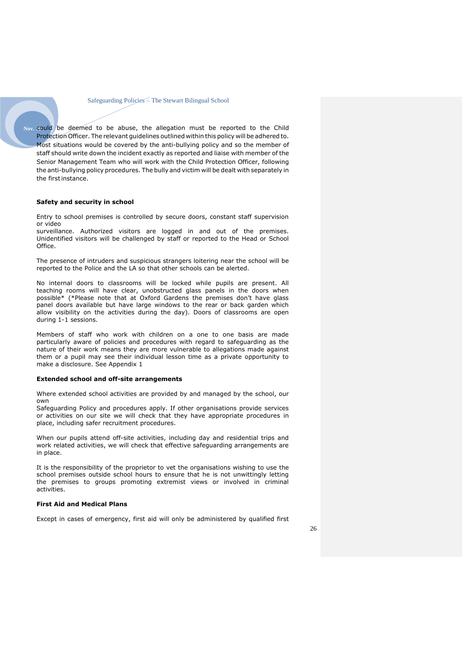Nov. could be deemed to be abuse, the allegation must be reported to the Child Protection Officer. The relevant guidelines outlined within this policy will be adhered to. Most situations would be covered by the anti-bullying policy and so the member of staff should write down the incident exactly as reported and liaise with member of the Senior Management Team who will work with the Child Protection Officer, following the anti-bullying policy procedures. The bully and victim will be dealt with separately in the first instance.

#### **Safety and security in school**

Entry to school premises is controlled by secure doors, constant staff supervision or video

surveillance. Authorized visitors are logged in and out of the premises. Unidentified visitors will be challenged by staff or reported to the Head or School Office.

The presence of intruders and suspicious strangers loitering near the school will be reported to the Police and the LA so that other schools can be alerted.

No internal doors to classrooms will be locked while pupils are present. All teaching rooms will have clear, unobstructed glass panels in the doors when possible\* (\*Please note that at Oxford Gardens the premises don't have glass panel doors available but have large windows to the rear or back garden which allow visibility on the activities during the day). Doors of classrooms are open during 1-1 sessions.

Members of staff who work with children on a one to one basis are made particularly aware of policies and procedures with regard to safeguarding as the nature of their work means they are more vulnerable to allegations made against them or a pupil may see their individual lesson time as a private opportunity to make a disclosure. See Appendix 1

#### **Extended school and off-site arrangements**

Where extended school activities are provided by and managed by the school, our own

Safeguarding Policy and procedures apply. If other organisations provide services or activities on our site we will check that they have appropriate procedures in place, including safer recruitment procedures.

When our pupils attend off-site activities, including day and residential trips and work related activities, we will check that effective safeguarding arrangements are in place.

It is the responsibility of the proprietor to vet the organisations wishing to use the school premises outside school hours to ensure that he is not unwittingly letting the premises to groups promoting extremist views or involved in criminal activities.

#### **First Aid and Medical Plans**

Except in cases of emergency, first aid will only be administered by qualified first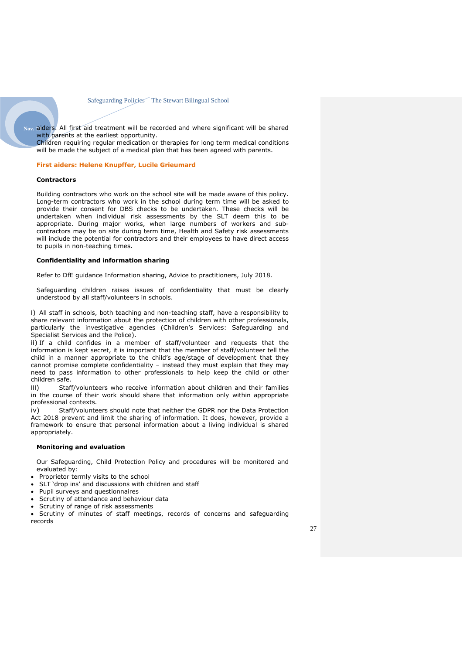**Nov. 19**aiders. All first aid treatment will be recorded and where significant will be shared with parents at the earliest opportunity.

Children requiring regular medication or therapies for long term medical conditions will be made the subject of a medical plan that has been agreed with parents.

#### **First aiders: Helene Knupffer, Lucile Grieumard**

#### **Contractors**

Building contractors who work on the school site will be made aware of this policy. Long-term contractors who work in the school during term time will be asked to provide their consent for DBS checks to be undertaken. These checks will be undertaken when individual risk assessments by the SLT deem this to be appropriate. During major works, when large numbers of workers and subcontractors may be on site during term time, Health and Safety risk assessments will include the potential for contractors and their employees to have direct access to pupils in non-teaching times.

#### **Confidentiality and information sharing**

Refer to DfE guidance Information sharing, Advice to practitioners, July 2018.

Safeguarding children raises issues of confidentiality that must be clearly understood by all staff/volunteers in schools.

i) All staff in schools, both teaching and non-teaching staff, have a responsibility to share relevant information about the protection of children with other professionals, particularly the investigative agencies (Children's Services: Safeguarding and Specialist Services and the Police).

ii) If a child confides in a member of staff/volunteer and requests that the information is kept secret, it is important that the member of staff/volunteer tell the child in a manner appropriate to the child's age/stage of development that they cannot promise complete confidentiality – instead they must explain that they may need to pass information to other professionals to help keep the child or other children safe.

iii) Staff/volunteers who receive information about children and their families in the course of their work should share that information only within appropriate professional contexts.

iv) Staff/volunteers should note that neither the GDPR nor the Data Protection Act 2018 prevent and limit the sharing of information. It does, however, provide a framework to ensure that personal information about a living individual is shared appropriately.

#### **Monitoring and evaluation**

Our Safeguarding, Child Protection Policy and procedures will be monitored and evaluated by:

- Proprietor termly visits to the school
- SLT 'drop ins' and discussions with children and staff
- Pupil surveys and questionnaires
- Scrutiny of attendance and behaviour data
- Scrutiny of range of risk assessments

• Scrutiny of minutes of staff meetings, records of concerns and safeguarding records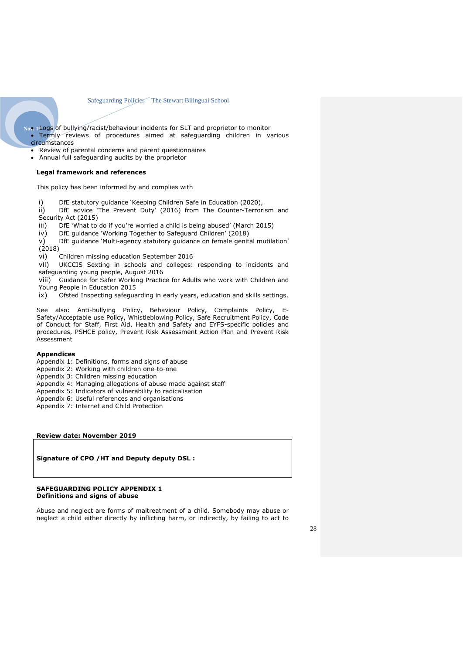- Nov. 1Logs of bullying/racist/behaviour incidents for SLT and proprietor to monitor • Termly reviews of procedures aimed at safeguarding children in various
	- circumstances
	- Review of parental concerns and parent questionnaires
	- Annual full safeguarding audits by the proprietor

#### **Legal framework and references**

This policy has been informed by and complies with

- i) DfE statutory guidance 'Keeping Children Safe in Education (2020),
- ii) DfE advice 'The Prevent Duty' (2016) from The Counter-Terrorism and Security Act (2015)
- iii) DfE 'What to do if you're worried a child is being abused' (March 2015)
- iv) DfE guidance 'Working Together to Safeguard Children' (2018)

v) DfE guidance 'Multi-agency statutory guidance on female genital mutilation'  $(2018)$ 

vi) Children missing education September 2016

vii) UKCCIS Sexting in schools and colleges: responding to incidents and safeguarding young people, August 2016

viii) Guidance for Safer Working Practice for Adults who work with Children and Young People in Education 2015

ix) Ofsted Inspecting safeguarding in early years, education and skills settings.

See also: Anti-bullying Policy, Behaviour Policy, Complaints Policy, E-Safety/Acceptable use Policy, Whistleblowing Policy, Safe Recruitment Policy, Code of Conduct for Staff, First Aid, Health and Safety and EYFS-specific policies and procedures, PSHCE policy, Prevent Risk Assessment Action Plan and Prevent Risk Assessment

#### **Appendices**

Appendix 1: Definitions, forms and signs of abuse

- Appendix 2: Working with children one-to-one
- Appendix 3: Children missing education
- Appendix 4: Managing allegations of abuse made against staff
- Appendix 5: Indicators of vulnerability to radicalisation
- Appendix 6: Useful references and organisations
- Appendix 7: Internet and Child Protection

#### **Review date: November 2019**

**Signature of CPO /HT and Deputy deputy DSL :** 

#### **SAFEGUARDING POLICY APPENDIX 1 Definitions and signs of abuse**

Abuse and neglect are forms of maltreatment of a child. Somebody may abuse or neglect a child either directly by inflicting harm, or indirectly, by failing to act to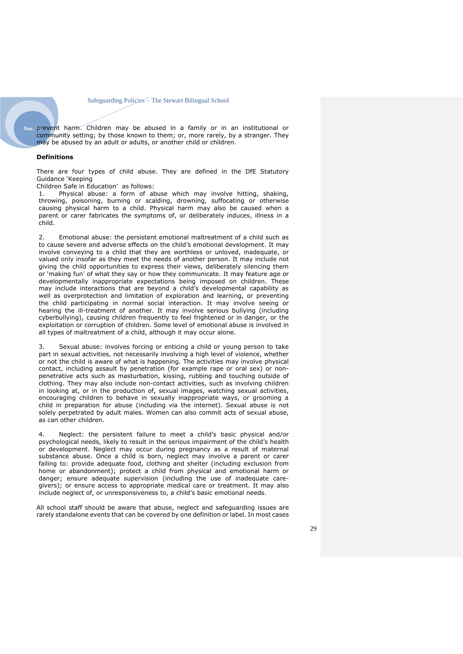**Nov. 19**prevent harm. Children may be abused in a family or in an institutional or community setting; by those known to them; or, more rarely, by a stranger. They may be abused by an adult or adults, or another child or children.

#### **Definitions**

There are four types of child abuse. They are defined in the DfE Statutory Guidance 'Keeping

Children Safe in Education' as follows:

1. Physical abuse: a form of abuse which may involve hitting, shaking, throwing, poisoning, burning or scalding, drowning, suffocating or otherwise causing physical harm to a child. Physical harm may also be caused when a parent or carer fabricates the symptoms of, or deliberately induces, illness in a child.

2. Emotional abuse: the persistent emotional maltreatment of a child such as to cause severe and adverse effects on the child's emotional development. It may involve conveying to a child that they are worthless or unloved, inadequate, or valued only insofar as they meet the needs of another person. It may include not giving the child opportunities to express their views, deliberately silencing them or 'making fun' of what they say or how they communicate. It may feature age or developmentally inappropriate expectations being imposed on children. These may include interactions that are beyond a child's developmental capability as well as overprotection and limitation of exploration and learning, or preventing the child participating in normal social interaction. It may involve seeing or hearing the ill-treatment of another. It may involve serious bullying (including cyberbullying), causing children frequently to feel frightened or in danger, or the exploitation or corruption of children. Some level of emotional abuse is involved in all types of maltreatment of a child, although it may occur alone.

3. Sexual abuse: involves forcing or enticing a child or young person to take part in sexual activities, not necessarily involving a high level of violence, whether or not the child is aware of what is happening. The activities may involve physical contact, including assault by penetration (for example rape or oral sex) or nonpenetrative acts such as masturbation, kissing, rubbing and touching outside of clothing. They may also include non-contact activities, such as involving children in looking at, or in the production of, sexual images, watching sexual activities, encouraging children to behave in sexually inappropriate ways, or grooming a child in preparation for abuse (including via the internet). Sexual abuse is not solely perpetrated by adult males. Women can also commit acts of sexual abuse, as can other children.

Neglect: the persistent failure to meet a child's basic physical and/or psychological needs, likely to result in the serious impairment of the child's health or development. Neglect may occur during pregnancy as a result of maternal substance abuse. Once a child is born, neglect may involve a parent or carer failing to: provide adequate food, clothing and shelter (including exclusion from home or abandonment); protect a child from physical and emotional harm or danger; ensure adequate supervision (including the use of inadequate caregivers); or ensure access to appropriate medical care or treatment. It may also include neglect of, or unresponsiveness to, a child's basic emotional needs.

All school staff should be aware that abuse, neglect and safeguarding issues are rarely standalone events that can be covered by one definition or label. In most cases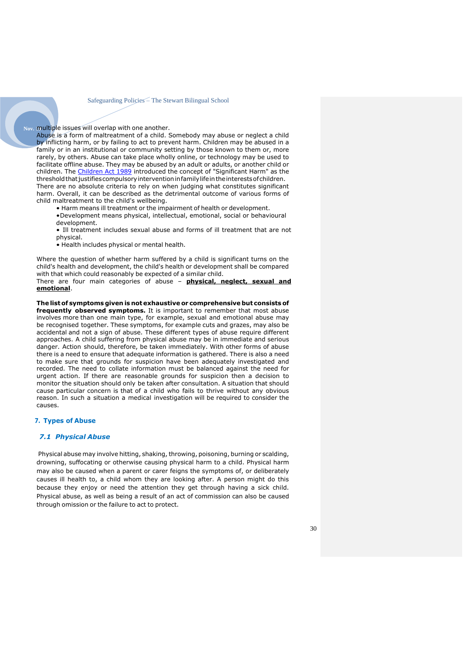Nov. multiple issues will overlap with one another.

Abuse is a form of maltreatment of a child. Somebody may abuse or neglect a child by inflicting harm, or by failing to act to prevent harm. Children may be abused in a family or in an institutional or community setting by those known to them or, more rarely, by others. Abuse can take place wholly online, or technology may be used to facilitate offline abuse. They may be abused by an adult or adults, or another child or children. The [Children](https://www.legislation.gov.uk/ukpga/1989/41/contents) Act 1989 introduced the concept of "Significant Harm" as the thresholdthatjustifiescompulsoryinterventioninfamilylifeintheinterestsofchildren. There are no absolute criteria to rely on when judging what constitutes significant harm. Overall, it can be described as the detrimental outcome of various forms of child maltreatment to the child's wellbeing.

• Harm means ill treatment or the impairment of health or development.

•Development means physical, intellectual, emotional, social or behavioural development.

• Ill treatment includes sexual abuse and forms of ill treatment that are not physical.

• Health includes physical or mental health.

Where the question of whether harm suffered by a child is significant turns on the child's health and development, the child's health or development shall be compared with that which could reasonably be expected of a similar child.

There are four main categories of abuse – **physical, neglect, sexual and emotional**.

**The listof symptoms given is notexhaustive or comprehensive but consists of frequently observed symptoms.** It is important to remember that most abuse involves more than one main type, for example, sexual and emotional abuse may be recognised together. These symptoms, for example cuts and grazes, may also be accidental and not a sign of abuse. These different types of abuse require different approaches. A child suffering from physical abuse may be in immediate and serious danger. Action should, therefore, be taken immediately. With other forms of abuse there is a need to ensure that adequate information is gathered. There is also a need to make sure that grounds for suspicion have been adequately investigated and recorded. The need to collate information must be balanced against the need for urgent action. If there are reasonable grounds for suspicion then a decision to monitor the situation should only be taken after consultation. A situation that should cause particular concern is that of a child who fails to thrive without any obvious reason. In such a situation a medical investigation will be required to consider the causes.

#### <span id="page-29-0"></span>**7. Types of Abuse**

#### *7.1 Physical Abuse*

Physical abuse may involve hitting, shaking, throwing, poisoning, burning or scalding, drowning, suffocating or otherwise causing physical harm to a child. Physical harm may also be caused when a parent or carer feigns the symptoms of, or deliberately causes ill health to, a child whom they are looking after. A person might do this because they enjoy or need the attention they get through having a sick child. Physical abuse, as well as being a result of an act of commission can also be caused through omission or the failure to act to protect.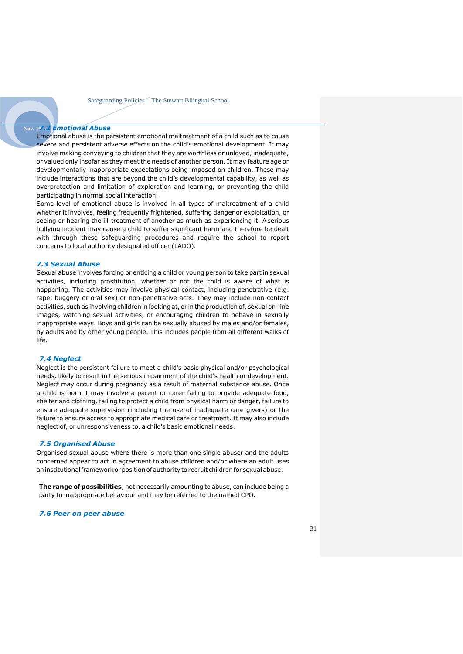#### **Nov. 19***7.2 Emotional Abuse*

Emotional abuse is the persistent emotional maltreatment of a child such as to cause severe and persistent adverse effects on the child's emotional development. It may involve making conveying to children that they are worthless or unloved, inadequate, or valued only insofar as they meet the needs of another person. It may feature age or developmentally inappropriate expectations being imposed on children. These may include interactions that are beyond the child's developmental capability, as well as overprotection and limitation of exploration and learning, or preventing the child participating in normal social interaction.

Some level of emotional abuse is involved in all types of maltreatment of a child whether it involves, feeling frequently frightened, suffering danger or exploitation, or seeing or hearing the ill-treatment of another as much as experiencing it. A serious bullying incident may cause a child to suffer significant harm and therefore be dealt with through these safeguarding procedures and require the school to report concerns to local authority designated officer (LADO).

#### <span id="page-30-0"></span>*7.3 Sexual Abuse*

Sexual abuse involves forcing or enticing a child or young person to take part in sexual activities, including prostitution, whether or not the child is aware of what is happening. The activities may involve physical contact, including penetrative (e.g. rape, buggery or oral sex) or non-penetrative acts. They may include non-contact activities, such as involving children in looking at, or in the production of, sexual on-line images, watching sexual activities, or encouraging children to behave in sexually inappropriate ways. Boys and girls can be sexually abused by males and/or females, by adults and by other young people. This includes people from all different walks of life.

#### *7.4 Neglect*

Neglect is the persistent failure to meet a child's basic physical and/or psychological needs, likely to result in the serious impairment of the child's health or development. Neglect may occur during pregnancy as a result of maternal substance abuse. Once a child is born it may involve a parent or carer failing to provide adequate food, shelter and clothing, failing to protect a child from physical harm or danger, failure to ensure adequate supervision (including the use of inadequate care givers) or the failure to ensure access to appropriate medical care or treatment. It may also include neglect of, or unresponsiveness to, a child's basic emotional needs.

#### *7.5 Organised Abuse*

Organised sexual abuse where there is more than one single abuser and the adults concerned appear to act in agreement to abuse children and/or where an adult uses an institutional framework or position of authority to recruit children for sexual abuse.

**The range of possibilities**, not necessarily amounting to abuse, can include being a party to inappropriate behaviour and may be referred to the named CPO.

#### *7.6 Peer on peer abuse*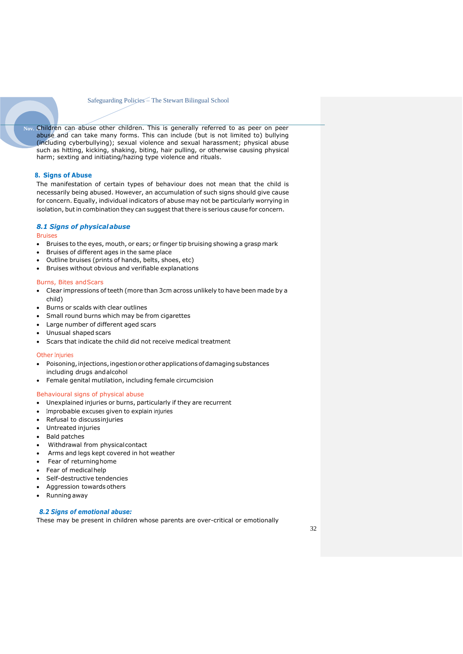Nov. Children can abuse other children. This is generally referred to as peer on peer abuse and can take many forms. This can include (but is not limited to) bullying (including cyberbullying); sexual violence and sexual harassment; physical abuse such as hitting, kicking, shaking, biting, hair pulling, or otherwise causing physical harm; sexting and initiating/hazing type violence and rituals.

#### <span id="page-31-0"></span>**8. Signs of Abuse**

The manifestation of certain types of behaviour does not mean that the child is necessarily being abused. However, an accumulation of such signs should give cause for concern. Equally, individual indicators of abuse may not be particularly worrying in isolation, but in combination they can suggest that there is serious cause for concern.

#### *8.1 Signs of physicalabuse*

#### Bruises

- Bruises to the eyes, mouth, or ears; or finger tip bruising showing a grasp mark
- Bruises of different ages in the same place
- Outline bruises (prints of hands, belts, shoes, etc)
- Bruises without obvious and verifiable explanations

#### Burns, Bites andScars

- Clear impressions of teeth (more than 3cm across unlikely to have been made by a child)
- Burns or scalds with clear outlines
- Small round burns which may be from cigarettes
- Large number of different aged scars
- Unusual shaped scars
- Scars that indicate the child did not receive medical treatment

#### **Other Injuries**

- Poisoning, injections, ingestion or other applications of damaging substances including drugs andalcohol
- Female genital mutilation, including female circumcision

#### Behavioural signs of physical abuse

- Unexplained injuries or burns, particularly if they are recurrent
- Improbable excuses given to explain injuries
- Refusal to discussinjuries
- Untreated injuries
- Bald patches
- Withdrawal from physicalcontact
- Arms and legs kept covered in hot weather
- Fear of returning home
- Fear of medicalhelp
- Self-destructive tendencies
- Aggression towards others
- Running away

#### *8.2 Signs of emotional abuse:*

These may be present in children whose parents are over-critical or emotionally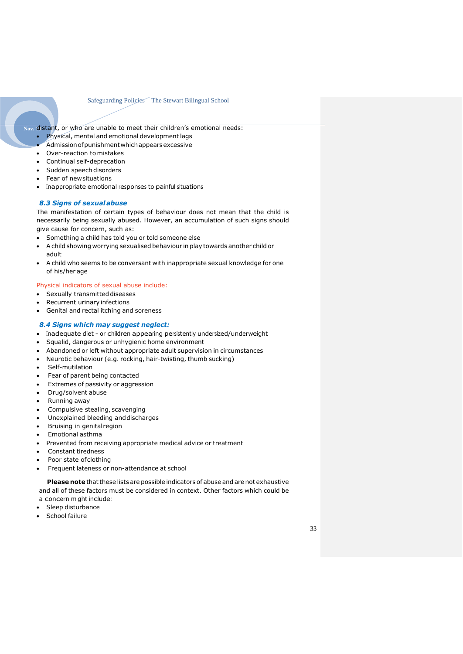Nov. distant, or who are unable to meet their children's emotional needs:

- Physical, mental and emotional development lags
- Admissionofpunishmentwhichappearsexcessive
- Over-reaction to mistakes
- Continual self-deprecation
- Sudden speech disorders
- Fear of newsituations
- Inappropriate emotional responses to painful situations

#### *8.3 Signs of sexual abuse*

The manifestation of certain types of behaviour does not mean that the child is necessarily being sexually abused. However, an accumulation of such signs should give cause for concern, such as:

- Something a child has told you or told someone else
- Achild showing worrying sexualised behaviour in play towards another child or adult
- A child who seems to be conversant with inappropriate sexual knowledge for one of his/her age

#### Physical indicators of sexual abuse include:

- Sexually transmitted diseases
- Recurrent urinary infections
- Genital and rectal itching and soreness

#### *8.4 Signs which may suggest neglect:*

- Inadequate diet or children appearing persistently undersized/underweight
- Squalid, dangerous or unhygienic home environment
- Abandoned or left without appropriate adult supervision in circumstances
- Neurotic behaviour (e.g. rocking, hair-twisting, thumb sucking)
- Self-mutilation
- Fear of parent being contacted
- Extremes of passivity or aggression
- Drug/solvent abuse
- Running away
- Compulsive stealing, scavenging
- Unexplained bleeding and discharges
- Bruising in genitalregion
- Emotional asthma
- Prevented from receiving appropriate medical advice or treatment
- Constant tiredness
- Poor state of clothing
- Frequent lateness or non-attendance at school

**Please note** that these lists are possible indicators of abuse and are not exhaustive and all of these factors must be considered in context. Other factors which could be a concern might include:

- Sleep disturbance
- School failure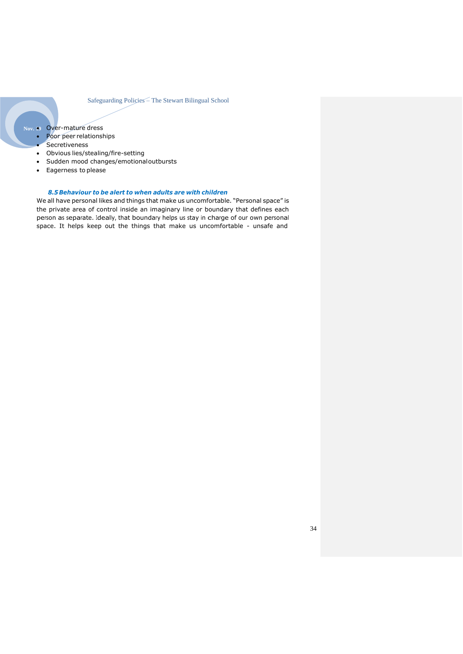- **Nov. 19** Over-mature dress
	- Poor peer relationships
	- **Secretiveness**
	- Obvious lies/stealing/fire-setting
	- Sudden mood changes/emotionaloutbursts
	- Eagerness to please

#### *8.5Behaviour to be alert to when adults are with children*

We all have personal likes and things that make us uncomfortable. "Personal space" is the private area of control inside an imaginary line or boundary that defines each person as separate. Ideally, that boundary helps us stay in charge of our own personal space. It helps keep out the things that make us uncomfortable - unsafe and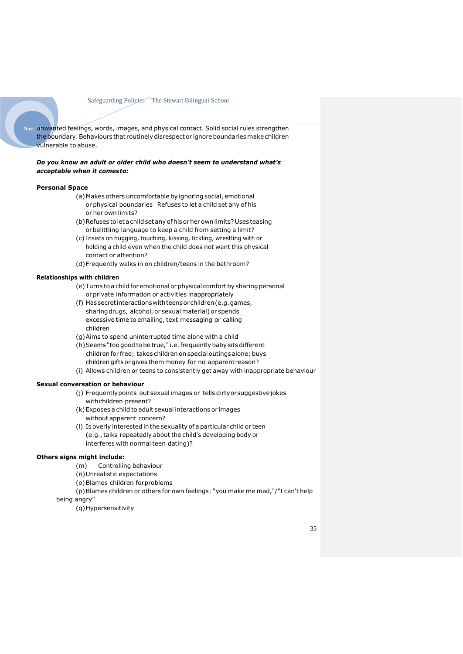Nov. unwanted feelings, words, images, and physical contact. Solid social rules strengthen the boundary. Behaviours that routinely disrespect or ignore boundaries make children vulnerable to abuse.

#### *Do you know an adult or older child who doesn't seem to understand what's acceptable when it comesto:*

#### **Personal Space**

- (a)Makes others uncomfortable by ignoring social, emotional or physical boundaries Refuses to let a child set any of his or her own limits?
- (b) Refuses to let a child set any of his or her own limits? Uses teasing orbelittling language to keep a child from setting a limit?
- (c) Insists on hugging, touching, kissing, tickling, wrestling with or holding a child even when the child does not want this physical contact or attention?
- (d)Frequently walks in on children/teens in the bathroom?

#### **Relationships with children**

- (e)Turns to a child for emotional or physical comfort by sharing personal or private information or activities inappropriately
- (f) Hassecretinteractionswithteensorchildren(e.g.games, sharingdrugs, alcohol, or sexual material) or spends excessive time to emailing, text messaging or calling children
- (g)Aims to spend uninterrupted time alone with a child
- (h) Seems "too good to be true," i.e. frequently baby sits different children for free; takes children on special outings alone; buys children gifts or gives them money for no apparentreason?
- (i) Allows children or teens to consistently get away with inappropriate behaviour

#### **Sexual conversation or behaviour**

- (j) Frequentlypoints out sexual images or tells dirtyorsuggestivejokes withchildren present?
- (k)Exposes a child to adult sexual interactions or images without apparent concern?
- (l) Is overly interested in the sexuality of a particular child or teen (e.g.,talks repeatedly about the child's developing body or interferes with normal teen dating)?

#### **Others signs might include:**

- (m) Controlling behaviour
- (n)Unrealistic expectations
- (o)Blames children forproblems

(p)Blames children or others for own feelings: "you make me mad,"/"I can't help being angry"

(q)Hypersensitivity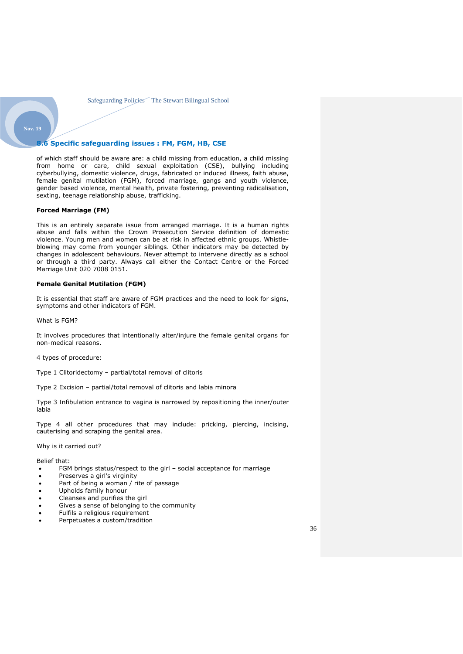## <span id="page-35-0"></span>**Nov. 19**

#### **8.6 Specific safeguarding issues : FM, FGM, HB, CSE**

of which staff should be aware are: a child missing from education, a child missing from home or care, child sexual exploitation (CSE), bullying including cyberbullying, domestic violence, drugs, fabricated or induced illness, faith abuse, female genital mutilation (FGM), forced marriage, gangs and youth violence, gender based violence, mental health, private fostering, preventing radicalisation, sexting, teenage relationship abuse, trafficking.

#### **Forced Marriage (FM)**

This is an entirely separate issue from arranged marriage. It is a human rights abuse and falls within the Crown Prosecution Service definition of domestic violence. Young men and women can be at risk in affected ethnic groups. Whistleblowing may come from younger siblings. Other indicators may be detected by changes in adolescent behaviours. Never attempt to intervene directly as a school or through a third party. Always call either the Contact Centre or the Forced Marriage Unit 020 7008 0151.

#### **Female Genital Mutilation (FGM)**

It is essential that staff are aware of FGM practices and the need to look for signs, symptoms and other indicators of FGM.

What is FGM?

It involves procedures that intentionally alter/injure the female genital organs for non-medical reasons.

4 types of procedure:

Type 1 Clitoridectomy – partial/total removal of clitoris

Type 2 Excision – partial/total removal of clitoris and labia minora

Type 3 Infibulation entrance to vagina is narrowed by repositioning the inner/outer labia

Type 4 all other procedures that may include: pricking, piercing, incising, cauterising and scraping the genital area.

Why is it carried out?

Belief that:

- FGM brings status/respect to the girl social acceptance for marriage
- Preserves a girl's virginity
- Part of being a woman / rite of passage
- Upholds family honour
- Cleanses and purifies the girl
- Gives a sense of belonging to the community
- Fulfils a religious requirement
- Perpetuates a custom/tradition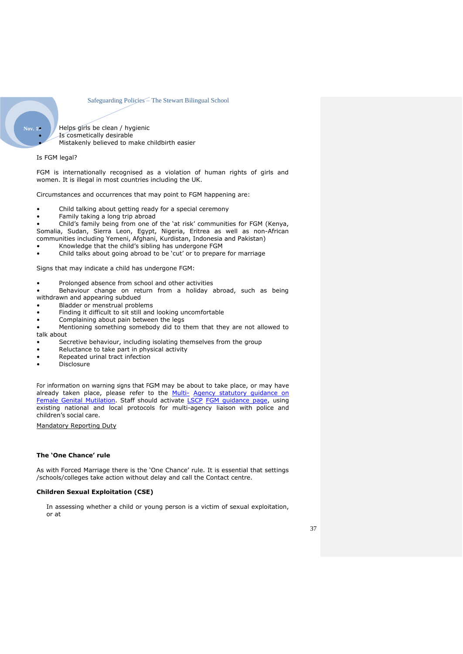**Nov. 19 Helps girls be clean / hygienic** • Is cosmetically desirable • Mistakenly believed to make childbirth easier

#### Is FGM legal?

FGM is internationally recognised as a violation of human rights of girls and women. It is illegal in most countries including the UK.

Circumstances and occurrences that may point to FGM happening are:

- Child talking about getting ready for a special ceremony
- Family taking a long trip abroad

• Child's family being from one of the 'at risk' communities for FGM (Kenya, Somalia, Sudan, Sierra Leon, Egypt, Nigeria, Eritrea as well as non-African

- communities including Yemeni, Afghani, Kurdistan, Indonesia and Pakistan) • Knowledge that the child's sibling has undergone FGM
- Child talks about going abroad to be 'cut' or to prepare for marriage

Signs that may indicate a child has undergone FGM:

- Prolonged absence from school and other activities
- Behaviour change on return from a holiday abroad, such as being withdrawn and appearing subdued
- Bladder or menstrual problems
- Finding it difficult to sit still and looking uncomfortable
- Complaining about pain between the legs

• Mentioning something somebody did to them that they are not allowed to talk about

- Secretive behaviour, including isolating themselves from the group
- Reluctance to take part in physical activity
- Repeated urinal tract infection
- Disclosure

For information on warning signs that FGM may be about to take place, or may have already taken place, please refer to the **[Multi-](https://www.gov.uk/government/publications/multi-agency-statutory-guidance-on-female-genital-mutilation) Agency [statutory](https://www.gov.uk/government/publications/multi-agency-statutory-guidance-on-female-genital-mutilation) guidance on** Female Genital [Mutilation.](https://www.gov.uk/government/publications/multi-agency-statutory-guidance-on-female-genital-mutilation) Staff should activate [LSCP](https://www.rbkc.gov.uk/lscb) [FGM guidance page,](https://www.rbkc.gov.uk/lscb/sites/default/files/atoms/files/Female%20Genital%20Mutilation.pdf) using existing national and local protocols for multi-agency liaison with police and children's social care.

Mandatory Reporting Duty

#### **The 'One Chance' rule**

As with Forced Marriage there is the 'One Chance' rule. It is essential that settings /schools/colleges take action without delay and call the Contact centre.

#### **Children Sexual Exploitation (CSE)**

In assessing whether a child or young person is a victim of sexual exploitation, or at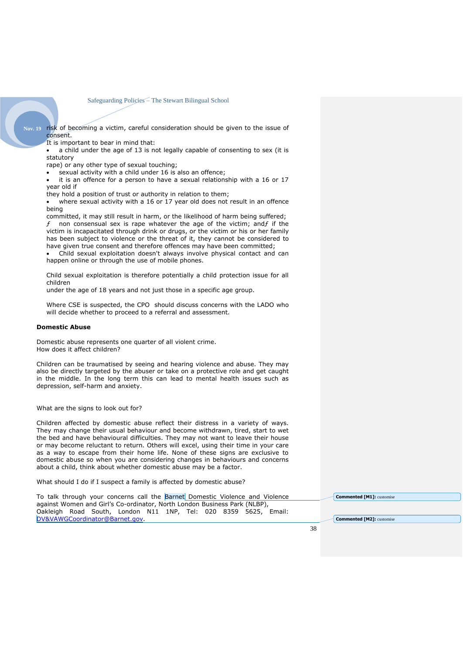**Nov. 19** risk of becoming a victim, careful consideration should be given to the issue of consent.

It is important to bear in mind that:

a child under the age of 13 is not legally capable of consenting to sex (it is statutory

rape) or any other type of sexual touching;

sexual activity with a child under 16 is also an offence;

it is an offence for a person to have a sexual relationship with a 16 or 17 year old if

they hold a position of trust or authority in relation to them;

where sexual activity with a 16 or 17 year old does not result in an offence being

committed, it may still result in harm, or the likelihood of harm being suffered; non consensual sex is rape whatever the age of the victim; and $f$  if the victim is incapacitated through drink or drugs, or the victim or his or her family has been subject to violence or the threat of it, they cannot be considered to have given true consent and therefore offences may have been committed;

• Child sexual exploitation doesn't always involve physical contact and can happen online or through the use of mobile phones.

Child sexual exploitation is therefore potentially a child protection issue for all children

under the age of 18 years and not just those in a specific age group.

Where CSE is suspected, the CPO should discuss concerns with the LADO who will decide whether to proceed to a referral and assessment.

#### **Domestic Abuse**

Domestic abuse represents one quarter of all violent crime. How does it affect children?

Children can be traumatised by seeing and hearing violence and abuse. They may also be directly targeted by the abuser or take on a protective role and get caught in the middle. In the long term this can lead to mental health issues such as depression, self-harm and anxiety.

What are the signs to look out for?

Children affected by domestic abuse reflect their distress in a variety of ways. They may change their usual behaviour and become withdrawn, tired, start to wet the bed and have behavioural difficulties. They may not want to leave their house or may become reluctant to return. Others will excel, using their time in your care as a way to escape from their home life. None of these signs are exclusive to domestic abuse so when you are considering changes in behaviours and concerns about a child, think about whether domestic abuse may be a factor.

What should I do if I suspect a family is affected by domestic abuse?

To talk through your concerns call the Barnet Domestic Violence and Violence against Women and Girl's Co-ordinator, North London Business Park (NLBP), Oakleigh Road South, London N11 1NP, Tel: 020 8359 5625, Email: [DV&VAWGCoordinator@Barnet.gov.](mailto:DV&VAWGCoordinator@Barnet.gov)

**Commented [M1]:** customise

**Commented [M2]:** customise

38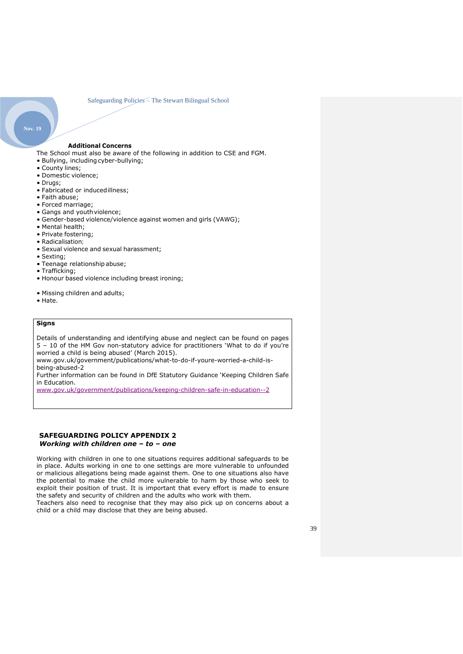#### **Additional Concerns**

The School must also be aware of the following in addition to CSE and FGM.

- Bullying, includingcyber-bullying;
- County lines;
- Domestic violence;
- Drugs;

**Nov. 19**

- Fabricated or inducedillness;
- Faith abuse;
- Forced marriage;
- Gangs and youthviolence;
- Gender-based violence/violence against women and girls (VAWG);
- Mental health;
- Private fostering;
- Radicalisation;
- Sexual violence and sexual harassment;
- Sexting;
- Teenage relationship abuse;
- Trafficking;
- Honour based violence including breast ironing;
- Missing children and adults;
- Hate.

## **Signs**

Details of understanding and identifying abuse and neglect can be found on pages 5 – 10 of the HM Gov non-statutory advice for practitioners 'What to do if you're worried a child is being abused' (March 2015).

www.gov.uk/government/publications/what-to-do-if-youre-worried-a-child-isbeing-abused-2

Further information can be found in DfE Statutory Guidance 'Keeping Children Safe in Education.

[www.gov.uk/government/publications/keeping-children-safe-in-education--2](http://www.gov.uk/government/publications/keeping-children-safe-in-education--2)

#### <span id="page-38-0"></span>**SAFEGUARDING POLICY APPENDIX 2** *Working with children one – to – one*

Working with children in one to one situations requires additional safeguards to be in place. Adults working in one to one settings are more vulnerable to unfounded or malicious allegations being made against them. One to one situations also have the potential to make the child more vulnerable to harm by those who seek to exploit their position of trust. It is important that every effort is made to ensure the safety and security of children and the adults who work with them.

Teachers also need to recognise that they may also pick up on concerns about a child or a child may disclose that they are being abused.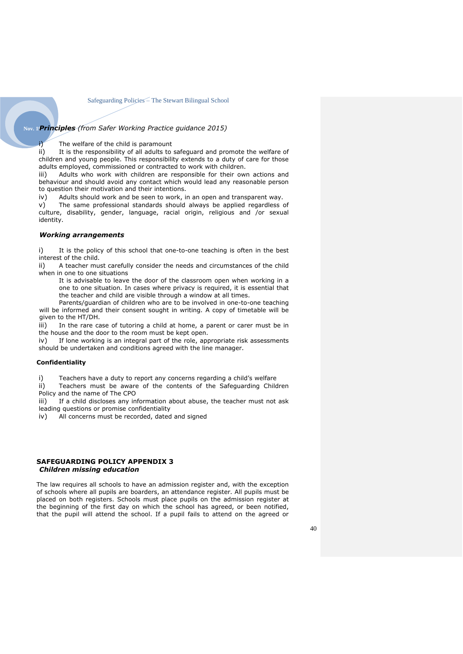## **Nov. 19***Principles (from Safer Working Practice guidance 2015)*

i) The welfare of the child is paramount

ii) It is the responsibility of all adults to safeguard and promote the welfare of children and young people. This responsibility extends to a duty of care for those adults employed, commissioned or contracted to work with children.

iii) Adults who work with children are responsible for their own actions and behaviour and should avoid any contact which would lead any reasonable person to question their motivation and their intentions.

iv) Adults should work and be seen to work, in an open and transparent way.

 $v$ ) The same professional standards should always be applied regardless of culture, disability, gender, language, racial origin, religious and /or sexual identity.

#### *Working arrangements*

i) It is the policy of this school that one-to-one teaching is often in the best interest of the child.

ii) A teacher must carefully consider the needs and circumstances of the child when in one to one situations

It is advisable to leave the door of the classroom open when working in a one to one situation. In cases where privacy is required, it is essential that the teacher and child are visible through a window at all times.

Parents/guardian of children who are to be involved in one-to-one teaching will be informed and their consent sought in writing. A copy of timetable will be given to the HT/DH.

iii) In the rare case of tutoring a child at home, a parent or carer must be in the house and the door to the room must be kept open.

 $iv)$  If lone working is an integral part of the role, appropriate risk assessments should be undertaken and conditions agreed with the line manager.

#### **Confidentiality**

i) Teachers have a duty to report any concerns regarding a child's welfare

ii) Teachers must be aware of the contents of the Safeguarding Children Policy and the name of The CPO

iii) If a child discloses any information about abuse, the teacher must not ask leading questions or promise confidentiality

iv) All concerns must be recorded, dated and signed

#### <span id="page-39-0"></span>**SAFEGUARDING POLICY APPENDIX 3**  *Children missing education*

The law requires all schools to have an admission register and, with the exception of schools where all pupils are boarders, an attendance register. All pupils must be placed on both registers. Schools must place pupils on the admission register at the beginning of the first day on which the school has agreed, or been notified, that the pupil will attend the school. If a pupil fails to attend on the agreed or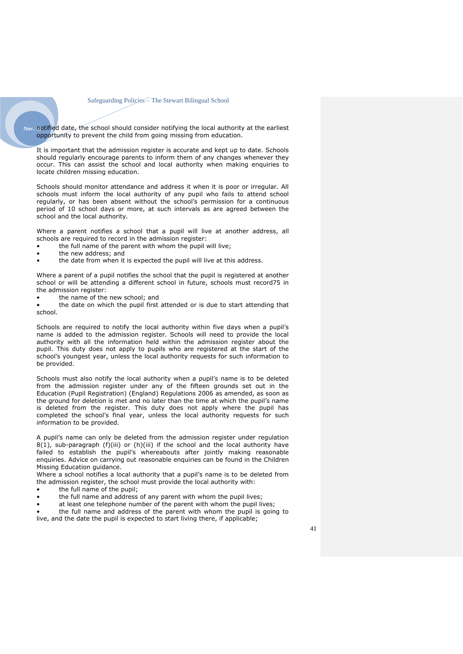Nov. notified date, the school should consider notifying the local authority at the earliest opportunity to prevent the child from going missing from education.

It is important that the admission register is accurate and kept up to date. Schools should regularly encourage parents to inform them of any changes whenever they occur. This can assist the school and local authority when making enquiries to locate children missing education.

Schools should monitor attendance and address it when it is poor or irregular. All schools must inform the local authority of any pupil who fails to attend school regularly, or has been absent without the school's permission for a continuous period of 10 school days or more, at such intervals as are agreed between the school and the local authority.

Where a parent notifies a school that a pupil will live at another address, all schools are required to record in the admission register:

- the full name of the parent with whom the pupil will live;
- the new address; and
- the date from when it is expected the pupil will live at this address.

Where a parent of a pupil notifies the school that the pupil is registered at another school or will be attending a different school in future, schools must record75 in the admission register:

• the name of the new school; and

the date on which the pupil first attended or is due to start attending that school.

Schools are required to notify the local authority within five days when a pupil's name is added to the admission register. Schools will need to provide the local authority with all the information held within the admission register about the pupil. This duty does not apply to pupils who are registered at the start of the school's youngest year, unless the local authority requests for such information to be provided.

Schools must also notify the local authority when a pupil's name is to be deleted from the admission register under any of the fifteen grounds set out in the Education (Pupil Registration) (England) Regulations 2006 as amended, as soon as the ground for deletion is met and no later than the time at which the pupil's name is deleted from the register. This duty does not apply where the pupil has completed the school's final year, unless the local authority requests for such information to be provided.

A pupil's name can only be deleted from the admission register under regulation  $8(1)$ , sub-paragraph (f)(iii) or (h)(iii) if the school and the local authority have failed to establish the pupil's whereabouts after jointly making reasonable enquiries. Advice on carrying out reasonable enquiries can be found in the Children Missing Education guidance.

Where a school notifies a local authority that a pupil's name is to be deleted from the admission register, the school must provide the local authority with:

- the full name of the pupil;
- the full name and address of any parent with whom the pupil lives;
- at least one telephone number of the parent with whom the pupil lives;

• the full name and address of the parent with whom the pupil is going to live, and the date the pupil is expected to start living there, if applicable;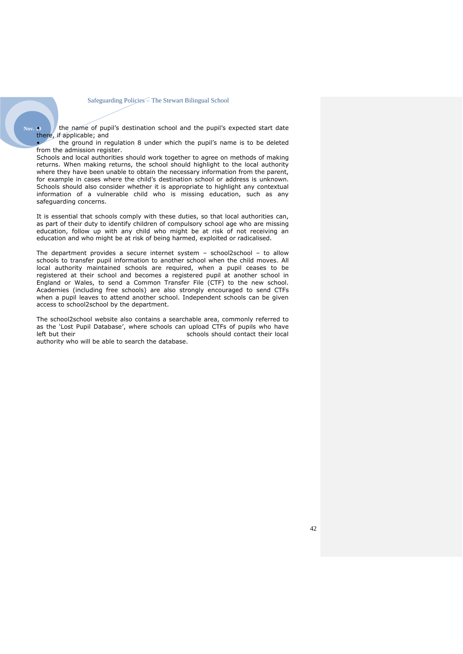Nov. **9** • the name of pupil's destination school and the pupil's expected start date there, if applicable; and

• the ground in regulation 8 under which the pupil's name is to be deleted from the admission register.

Schools and local authorities should work together to agree on methods of making returns. When making returns, the school should highlight to the local authority where they have been unable to obtain the necessary information from the parent, for example in cases where the child's destination school or address is unknown. Schools should also consider whether it is appropriate to highlight any contextual information of a vulnerable child who is missing education, such as any safeguarding concerns.

It is essential that schools comply with these duties, so that local authorities can, as part of their duty to identify children of compulsory school age who are missing education, follow up with any child who might be at risk of not receiving an education and who might be at risk of being harmed, exploited or radicalised.

The department provides a secure internet system – school2school – to allow schools to transfer pupil information to another school when the child moves. All local authority maintained schools are required, when a pupil ceases to be registered at their school and becomes a registered pupil at another school in England or Wales, to send a Common Transfer File (CTF) to the new school. Academies (including free schools) are also strongly encouraged to send CTFs when a pupil leaves to attend another school. Independent schools can be given access to school2school by the department.

The school2school website also contains a searchable area, commonly referred to as the 'Lost Pupil Database', where schools can upload CTFs of pupils who have<br>left but their local schools should contact their local schools should contact their local authority who will be able to search the database.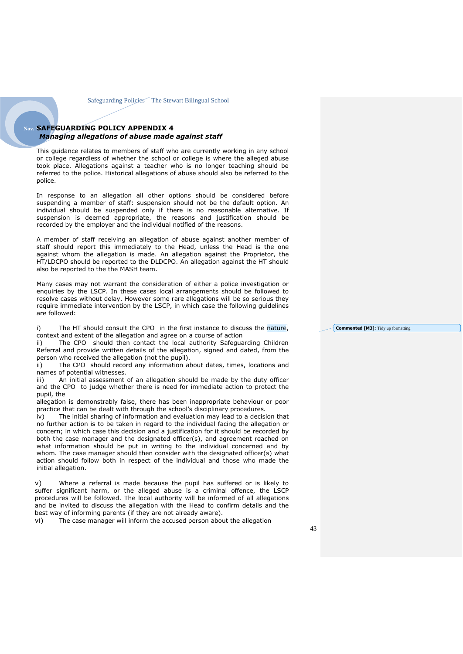#### <span id="page-42-0"></span>**SAFEGUARDING POLICY APPENDIX 4** *Managing allegations of abuse made against staff*

This guidance relates to members of staff who are currently working in any school or college regardless of whether the school or college is where the alleged abuse took place. Allegations against a teacher who is no longer teaching should be referred to the police. Historical allegations of abuse should also be referred to the police.

In response to an allegation all other options should be considered before suspending a member of staff: suspension should not be the default option. An individual should be suspended only if there is no reasonable alternative. If suspension is deemed appropriate, the reasons and justification should be recorded by the employer and the individual notified of the reasons.

A member of staff receiving an allegation of abuse against another member of staff should report this immediately to the Head, unless the Head is the one against whom the allegation is made. An allegation against the Proprietor, the HT/LDCPO should be reported to the DLDCPO. An allegation against the HT should also be reported to the the MASH team.

Many cases may not warrant the consideration of either a police investigation or enquiries by the LSCP. In these cases local arrangements should be followed to resolve cases without delay. However some rare allegations will be so serious they require immediate intervention by the LSCP, in which case the following guidelines are followed:

i) The HT should consult the CPO in the first instance to discuss the nature, context and extent of the allegation and agree on a course of action

ii) The CPO should then contact the local authority Safeguarding Children Referral and provide written details of the allegation, signed and dated, from the person who received the allegation (not the pupil).

ii) The CPO should record any information about dates, times, locations and names of potential witnesses.

iii) An initial assessment of an allegation should be made by the duty officer and the CPO to judge whether there is need for immediate action to protect the pupil, the

allegation is demonstrably false, there has been inappropriate behaviour or poor practice that can be dealt with through the school's disciplinary procedures.

iv) The initial sharing of information and evaluation may lead to a decision that no further action is to be taken in regard to the individual facing the allegation or concern; in which case this decision and a justification for it should be recorded by both the case manager and the designated officer(s), and agreement reached on what information should be put in writing to the individual concerned and by whom. The case manager should then consider with the designated officer(s) what action should follow both in respect of the individual and those who made the initial allegation.

v) Where a referral is made because the pupil has suffered or is likely to suffer significant harm, or the alleged abuse is a criminal offence, the LSCP procedures will be followed. The local authority will be informed of all allegations and be invited to discuss the allegation with the Head to confirm details and the best way of informing parents (if they are not already aware).

vi) The case manager will inform the accused person about the allegation

**Commented [M3]:** Tidy up formatting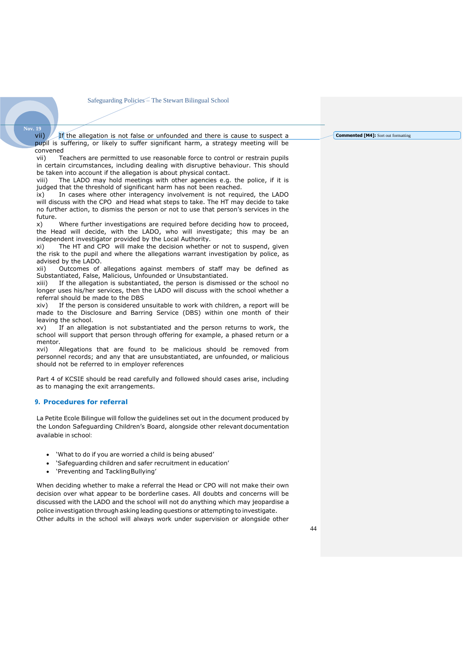#### **Nov. 19**

 $\mathbf{v}$ ii)  $\mathbf{v}$  If the allegation is not false or unfounded and there is cause to suspect a pupil is suffering, or likely to suffer significant harm, a strategy meeting will be convened<br>vii) Te

Teachers are permitted to use reasonable force to control or restrain pupils in certain circumstances, including dealing with disruptive behaviour. This should be taken into account if the allegation is about physical contact.

viii) The LADO may hold meetings with other agencies e.g. the police, if it is judged that the threshold of significant harm has not been reached.

ix) In cases where other interagency involvement is not required, the LADO will discuss with the CPO and Head what steps to take. The HT may decide to take no further action, to dismiss the person or not to use that person's services in the future.

x) Where further investigations are required before deciding how to proceed, the Head will decide, with the LADO, who will investigate; this may be an independent investigator provided by the Local Authority.

xi) The HT and CPO will make the decision whether or not to suspend, given the risk to the pupil and where the allegations warrant investigation by police, as advised by the LADO.

xii) Outcomes of allegations against members of staff may be defined as Substantiated, False, Malicious, Unfounded or Unsubstantiated.

xiii) If the allegation is substantiated, the person is dismissed or the school no longer uses his/her services, then the LADO will discuss with the school whether a referral should be made to the DBS

xiv) If the person is considered unsuitable to work with children, a report will be made to the Disclosure and Barring Service (DBS) within one month of their leaving the school.

xv) If an allegation is not substantiated and the person returns to work, the school will support that person through offering for example, a phased return or a mentor.

xvi) Allegations that are found to be malicious should be removed from personnel records; and any that are unsubstantiated, are unfounded, or malicious should not be referred to in employer references

Part 4 of KCSIE should be read carefully and followed should cases arise, including as to managing the exit arrangements.

#### <span id="page-43-0"></span>**9. Procedures for referral**

La Petite Ecole Bilingue will follow the guidelines set out in the document produced by the London Safeguarding Children's Board, alongside other relevant documentation available in school:

- 'What to do if you are worried a child is being abused'
- 'Safeguarding children and safer recruitment in education'
- 'Preventing and TacklingBullying'

When deciding whether to make a referral the Head or CPO will not make their own decision over what appear to be borderline cases. All doubts and concerns will be discussed with the LADO and the school will not do anything which may jeopardise a police investigation through asking leading questions or attempting to investigate. Other adults in the school will always work under supervision or alongside other

#### **Commented [M4]:** Sort out formatting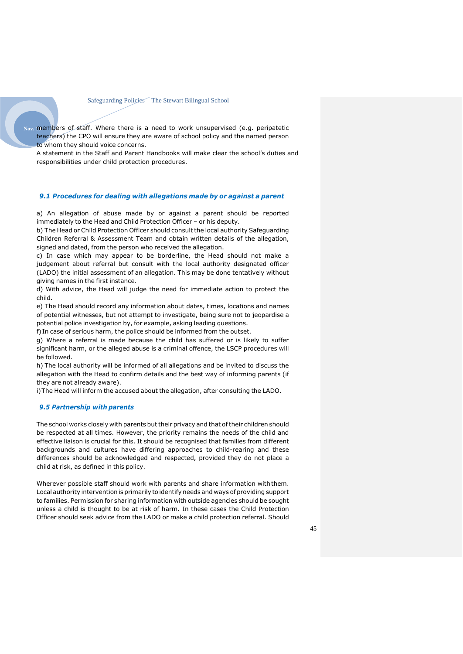Nov. members of staff. Where there is a need to work unsupervised (e.g. peripatetic teachers) the CPO will ensure they are aware of school policy and the named person to whom they should voice concerns.

A statement in the Staff and Parent Handbooks will make clear the school's duties and responsibilities under child protection procedures.

#### *9.1 Procedures for dealing with allegations made by or against a parent*

a) An allegation of abuse made by or against a parent should be reported immediately to the Head and Child Protection Officer – or his deputy.

b) The Head or Child Protection Officer should consult the local authority Safeguarding Children Referral & Assessment Team and obtain written details of the allegation, signed and dated, from the person who received the allegation.

c) In case which may appear to be borderline, the Head should not make a judgement about referral but consult with the local authority designated officer (LADO) the initial assessment of an allegation. This may be done tentatively without giving names in the first instance.

d) With advice, the Head will judge the need for immediate action to protect the child.

e) The Head should record any information about dates, times, locations and names of potential witnesses, but not attempt to investigate, being sure not to jeopardise a potential police investigation by, for example, asking leading questions.

f) In case of serious harm, the police should be informed from the outset.

g) Where a referral is made because the child has suffered or is likely to suffer significant harm, or the alleged abuse is a criminal offence, the LSCP procedures will be followed.

h) The local authority will be informed of all allegations and be invited to discuss the allegation with the Head to confirm details and the best way of informing parents (if they are not already aware).

i)The Head will inform the accused about the allegation, after consulting the LADO.

#### *9.5 Partnership with parents*

The school works closely with parents but their privacy and that of their children should be respected at all times. However, the priority remains the needs of the child and effective liaison is crucial for this. It should be recognised that families from different backgrounds and cultures have differing approaches to child-rearing and these differences should be acknowledged and respected, provided they do not place a child at risk, as defined in this policy.

Wherever possible staff should work with parents and share information withthem. Local authority intervention is primarily to identifyneeds and ways of providing support to families. Permission for sharing information with outside agencies should be sought unless a child is thought to be at risk of harm. In these cases the Child Protection Officer should seek advice from the LADO or make a child protection referral. Should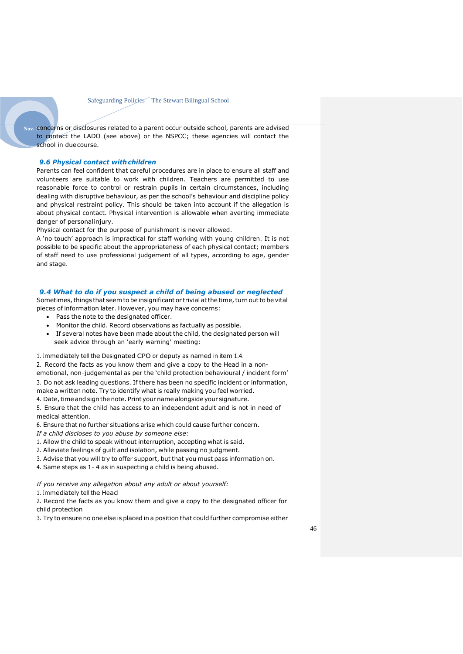Nov. concerns or disclosures related to a parent occur outside school, parents are advised to contact the LADO (see above) or the NSPCC; these agencies will contact the school in duecourse.

#### *9.6 Physical contact with children*

Parents can feel confident that careful procedures are in place to ensure all staff and volunteers are suitable to work with children. Teachers are permitted to use reasonable force to control or restrain pupils in certain circumstances, including dealing with disruptive behaviour, as per the school's behaviour and discipline policy and physical restraint policy. This should be taken into account if the allegation is about physical contact. Physical intervention is allowable when averting immediate danger of personalinjury.

Physical contact for the purpose of punishment is never allowed.

A 'no touch' approach is impractical for staff working with young children. It is not possible to be specific about the appropriateness of each physical contact; members of staff need to use professional judgement of all types, according to age, gender and stage.

#### *9.4 What to do if you suspect a child of being abused or neglected*

Sometimes, things that seem to be insignificant or trivial at the time, turn out to be vital pieces of information later. However, you may have concerns:

- Pass the note to the designated officer.
- Monitor the child. Record observations as factually as possible.
- If several notes have been made about the child, the designated person will seek advice through an 'early warning' meeting:

1. Immediately tell the Designated CPO or deputy as named in item 1.4.

- 2. Record the facts as you know them and give a copy to the Head in a nonemotional, non-judgemental as per the 'child protection behavioural / incident form' 3. Do not ask leading questions. If there has been no specific incident or information,
- make a written note. Try to identify what is really making you feel worried.

4. Date, time and sign the note. Print your name alongside your signature.

5. Ensure that the child has access to an independent adult and is not in need of medical attention.

6. Ensure that no further situations arise which could cause further concern.

- *If a child discloses to you abuse by someone else*:
- 1. Allow the child to speak without interruption, accepting what is said.
- 2. Alleviate feelings of guilt and isolation, while passing no judgment.
- 3. Advise that you will try to offer support, but that you must pass information on.
- 4. Same steps as 1- 4 as in suspecting a child is being abused.

#### *If you receive any allegation about any adult or about yourself:*

1. Immediately tell the Head

2. Record the facts as you know them and give a copy to the designated officer for child protection

3. Try to ensure no one else is placed in a position that could further compromise either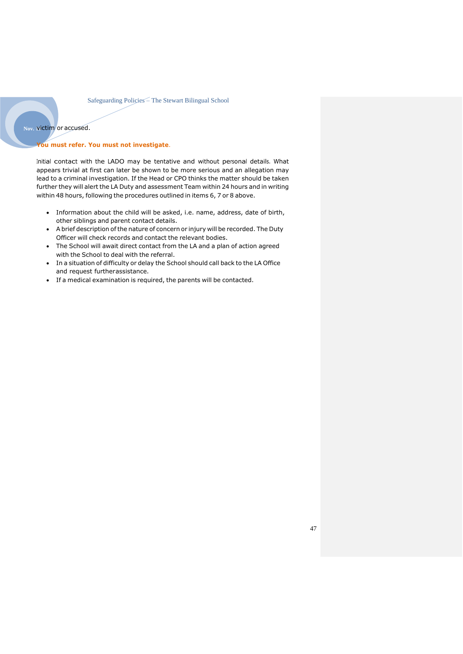#### Nov. victim or accused.

#### **You must refer. You must not investigate**.

Initial contact with the LADO may be tentative and without personal details. What appears trivial at first can later be shown to be more serious and an allegation may lead to a criminal investigation. If the Head or CPO thinks the matter should be taken further they will alert the LA Duty and assessment Team within 24 hours and in writing within 48 hours, following the procedures outlined in items 6, 7 or 8 above.

- Information about the child will be asked, i.e. name, address, date of birth, other siblings and parent contact details.
- A brief description of the nature of concern or injury will be recorded. The Duty Officer will check records and contact the relevant bodies.
- The School will await direct contact from the LA and a plan of action agreed with the School to deal with the referral.
- In a situation of difficulty or delay the School should call back to the LA Office and request furtherassistance.
- If a medical examination is required, the parents will be contacted.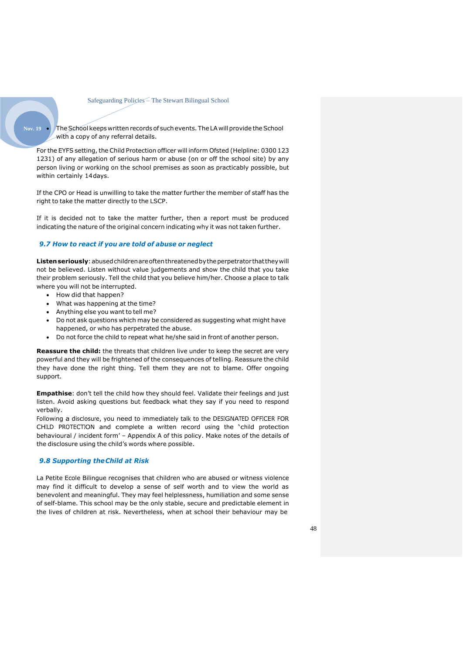Nov. 19 **• The School keeps written records of such events. The LA will provide the School** with a copy of any referral details.

For the EYFS setting, the Child Protection officer will inform Ofsted (Helpline: 0300 123 1231) of any allegation of serious harm or abuse (on or off the school site) by any person living or working on the school premises as soon as practicably possible, but within certainly 14days.

If the CPO or Head is unwilling to take the matter further the member of staff has the right to take the matter directly to the LSCP.

If it is decided not to take the matter further, then a report must be produced indicating the nature of the original concern indicating why it was not taken further.

#### *9.7 How to react if you are told of abuse or neglect*

Listen seriously: abused children are often threatened by the perpetrator that they will not be believed. Listen without value judgements and show the child that you take their problem seriously. Tell the child that you believe him/her. Choose a place to talk where you will not be interrupted.

- How did that happen?
- What was happening at the time?
- Anything else you want to tell me?
- Do not ask questions which may be considered as suggesting what might have happened, or who has perpetrated the abuse.
- Do not force the child to repeat what he/she said in front of another person.

**Reassure the child:** the threats that children live under to keep the secret are very powerful and they will be frightened of the consequences of telling. Reassure the child they have done the right thing. Tell them they are not to blame. Offer ongoing support.

**Empathise**: don't tell the child how they should feel. Validate their feelings and just listen. Avoid asking questions but feedback what they say if you need to respond verbally.

Following a disclosure, you need to immediately talk to the DESIGNATED OFFICER FOR CHILD PROTECTION and complete a written record using the 'child protection behavioural / incident form' – Appendix A of this policy. Make notes of the details of the disclosure using the child's words where possible.

#### *9.8 Supporting theChild at Risk*

La Petite Ecole Bilingue recognises that children who are abused or witness violence may find it difficult to develop a sense of self worth and to view the world as benevolent and meaningful. They may feel helplessness, humiliation and some sense of self-blame. This school may be the only stable, secure and predictable element in the lives of children at risk. Nevertheless, when at school their behaviour may be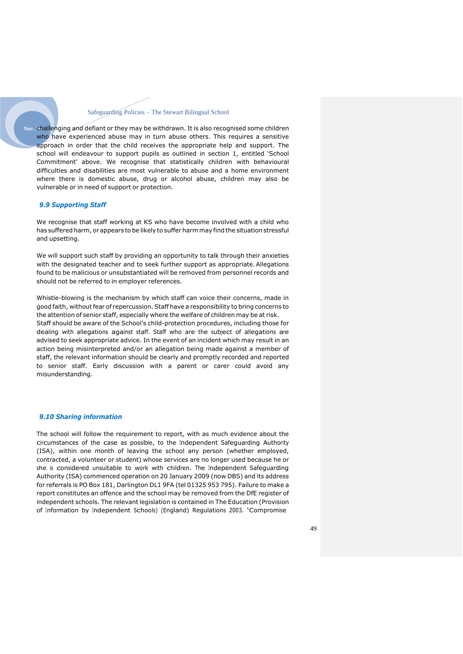**Nov. 19**challenging and defiant or they may be withdrawn. It is also recognised some children who have experienced abuse may in turn abuse others. This requires a sensitive approach in order that the child receives the appropriate help and support. The school will endeavour to support pupils as outlined in section 1, entitled 'School Commitment' above. We recognise that statistically children with behavioural difficulties and disabilities are most vulnerable to abuse and a home environment where there is domestic abuse, drug or alcohol abuse, children may also be vulnerable or in need of support or protection.

#### *9.9 Supporting Staff*

We recognise that staff working at KS who have become involved with a child who has suffered harm, or appears to be likely to suffer harm may find the situation stressful and upsetting.

We will support such staff by providing an opportunity to talk through their anxieties with the designated teacher and to seek further support as appropriate. Allegations found to be malicious or unsubstantiated will be removed from personnel records and should not be referred to in employer references.

Whistle-blowing is the mechanism by which staff can voice their concerns, made in good faith, withoutfear of repercussion. Staff have a responsibility to bring concerns to the attention of senior staff, especially where the welfare of children may be at risk. Staff should be aware of the School's child-protection procedures, including those for dealing with allegations against staff. Staff who are the subject of allegations are advised to seek appropriate advice. In the event of an incident which may result in an action being misinterpreted and/or an allegation being made against a member of staff, the relevant information should be clearly and promptly recorded and reported to senior staff. Early discussion with a parent or carer could avoid any misunderstanding.

#### *9.10 Sharing information*

The school will follow the requirement to report, with as much evidence about the circumstances of the case as possible, to the Independent Safeguarding Authority (ISA), within one month of leaving the school any person (whether employed, contracted, a volunteer or student) whose services are no longer used because he or she is considered unsuitable to work with children. The Independent Safeguarding Authority (ISA) commenced operation on 20 January 2009 (now DBS) and its address for referrals is PO Box 181, Darlington DL1 9FA (tel 01325 953 795). Failure to make a report constitutes an offence and the school may be removed from the DfE register of independent schools. The relevant legislation is contained in The Education (Provision of Information by Independent Schools) (England) Regulations 2003. 'Compromise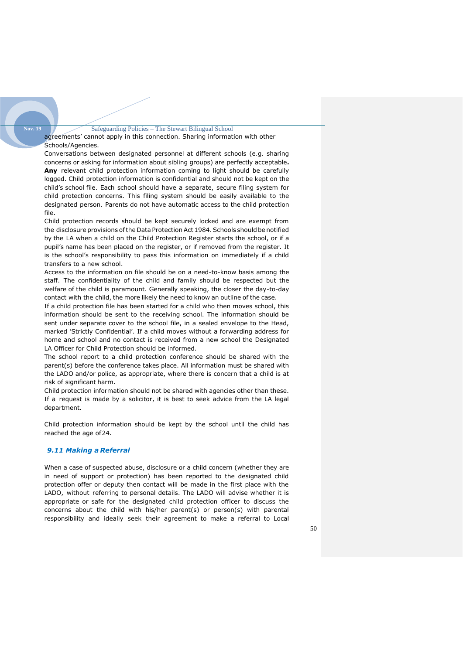agreements' cannot apply in this connection. Sharing information with other Schools/Agencies.

Conversations between designated personnel at different schools (e.g. sharing concerns or asking for information about sibling groups) are perfectly acceptable**. Any** relevant child protection information coming to light should be carefully logged. Child protection information is confidential and should not be kept on the child's school file. Each school should have a separate, secure filing system for child protection concerns. This filing system should be easily available to the designated person. Parents do not have automatic access to the child protection file.

Child protection records should be kept securely locked and are exempt from the disclosure provisions ofthe Data Protection Act 1984. Schools should be notified by the LA when a child on the Child Protection Register starts the school, or if a pupil's name has been placed on the register, or if removed from the register. It is the school's responsibility to pass this information on immediately if a child transfers to a new school.

Access to the information on file should be on a need-to-know basis among the staff. The confidentiality of the child and family should be respected but the welfare of the child is paramount. Generally speaking, the closer the day-to-day contact with the child, the more likely the need to know an outline of the case.

If a child protection file has been started for a child who then moves school, this information should be sent to the receiving school. The information should be sent under separate cover to the school file, in a sealed envelope to the Head, marked 'Strictly Confidential'. If a child moves without a forwarding address for home and school and no contact is received from a new school the Designated LA Officer for Child Protection should be informed.

The school report to a child protection conference should be shared with the parent(s) before the conference takes place. All information must be shared with the LADO and/or police, as appropriate, where there is concern that a child is at risk of significant harm.

Child protection information should not be shared with agencies other than these. If a request is made by a solicitor, it is best to seek advice from the LA legal department.

Child protection information should be kept by the school until the child has reached the age of24.

#### *9.11 Making a Referral*

**Nov. 19**

When a case of suspected abuse, disclosure or a child concern (whether they are in need of support or protection) has been reported to the designated child protection offer or deputy then contact will be made in the first place with the LADO, without referring to personal details. The LADO will advise whether it is appropriate or safe for the designated child protection officer to discuss the concerns about the child with his/her parent(s) or person(s) with parental responsibility and ideally seek their agreement to make a referral to Local

50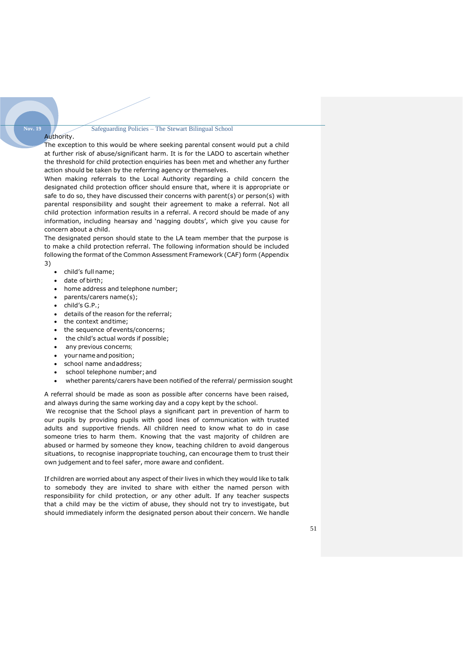### **Nov. 19**

Authority.

The exception to this would be where seeking parental consent would put a child at further risk of abuse/significant harm. It is for the LADO to ascertain whether the threshold for child protection enquiries has been met and whether any further action should be taken by the referring agency or themselves.

When making referrals to the Local Authority regarding a child concern the designated child protection officer should ensure that, where it is appropriate or safe to do so, they have discussed their concerns with parent(s) or person(s) with parental responsibility and sought their agreement to make a referral. Not all child protection information results in a referral. A record should be made of any information, including hearsay and 'nagging doubts', which give you cause for concern about a child.

The designated person should state to the LA team member that the purpose is to make a child protection referral. The following information should be included following the format of the Common Assessment Framework (CAF) form (Appendix

- 3)
- child's full name;
- date of birth;
- home address and telephone number;
- parents/carers name(s);
- child's G.P.;
- details of the reason for the referral;
- the context andtime;
- the sequence ofevents/concerns;
- the child's actual words if possible;
- any previous concerns;
- your name and position;
- school name and address;
- school telephone number; and
- whether parents/carers have been notified of the referral/ permission sought

A referral should be made as soon as possible after concerns have been raised, and always during the same working day and a copy kept by the school.

We recognise that the School plays a significant part in prevention of harm to our pupils by providing pupils with good lines of communication with trusted adults and supportive friends. All children need to know what to do in case someone tries to harm them. Knowing that the vast majority of children are abused or harmed by someone they know, teaching children to avoid dangerous situations, to recognise inappropriate touching, can encourage them to trust their own judgement and to feel safer, more aware and confident.

If children are worried about any aspect of their lives in which they would like to talk to somebody they are invited to share with either the named person with responsibility for child protection, or any other adult. If any teacher suspects that a child may be the victim of abuse, they should not try to investigate, but should immediately inform the designated person about their concern. We handle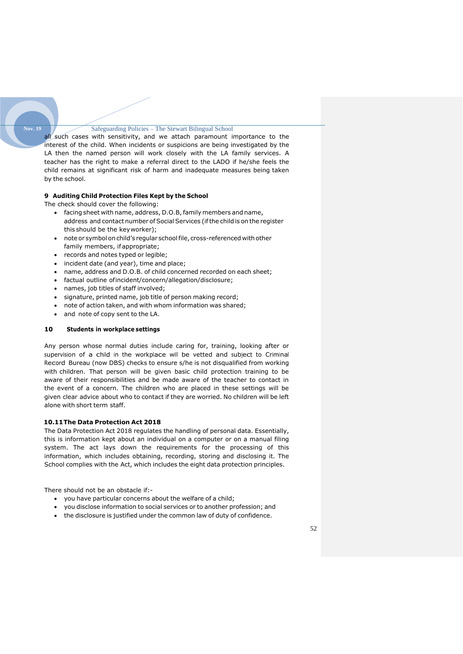all such cases with sensitivity, and we attach paramount importance to the interest of the child. When incidents or suspicions are being investigated by the LA then the named person will work closely with the LA family services. A teacher has the right to make a referral direct to the LADO if he/she feels the child remains at significant risk of harm and inadequate measures being taken by the school.

#### **9 Auditing Child Protection Files Kept by the School**

The check should cover the following:

**Nov. 19**

- facing sheet with name, address, D.O.B,family members and name, address and contact number of Social Services (ifthe child is on the register this should be the keyworker);
- note or symbol onchild's regular schoolfile, cross-referenced withother family members, if appropriate;
- records and notes typed or legible;
- incident date (and year), time and place;
- name, address and D.O.B. of child concerned recorded on each sheet;
- factual outline ofincident/concern/allegation/disclosure;
- names, job titles of staff involved;
- signature, printed name, job title of person making record;
- note of action taken, and with whom information was shared;
- and note of copy sent to the LA.

#### **10 Students in workplace settings**

Any person whose normal duties include caring for, training, looking after or supervision of a child in the workplace will be vetted and subject to Criminal Record Bureau (now DBS) checks to ensure s/he is not disqualified from working with children. That person will be given basic child protection training to be aware of their responsibilities and be made aware of the teacher to contact in the event of a concern. The children who are placed in these settings will be given clear advice about who to contact if they are worried. No children will be left alone with short term staff.

#### **10.11The Data Protection Act 2018**

The Data Protection Act 2018 regulates the handling of personal data. Essentially, this is information kept about an individual on a computer or on a manual filing system. The act lays down the requirements for the processing of this information, which includes obtaining, recording, storing and disclosing it. The School complies with the Act, which includes the eight data protection principles.

There should not be an obstacle if:-

- you have particular concerns about the welfare of a child;
- you disclose information to social services or to another profession; and
- the disclosure is justified under the common law of duty of confidence.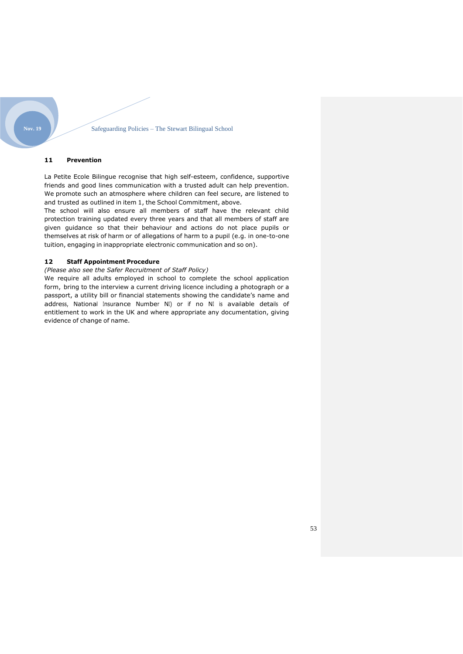#### **11 Prevention**

La Petite Ecole Bilingue recognise that high self-esteem, confidence, supportive friends and good lines communication with a trusted adult can help prevention. We promote such an atmosphere where children can feel secure, are listened to and trusted as outlined in item 1, the School Commitment, above.

The school will also ensure all members of staff have the relevant child protection training updated every three years and that all members of staff are given guidance so that their behaviour and actions do not place pupils or themselves at risk of harm or of allegations of harm to a pupil (e.g. in one-to-one tuition, engaging in inappropriate electronic communication and so on).

#### **12 Staff Appointment Procedure**

*(Please also see the Safer Recruitment of Staff Policy)*

We require all adults employed in school to complete the school application form, bring to the interview a current driving licence including a photograph or a passport, a utility bill or financial statements showing the candidate's name and address, National Insurance Number NI) or if no NI is available details of entitlement to work in the UK and where appropriate any documentation, giving evidence of change of name.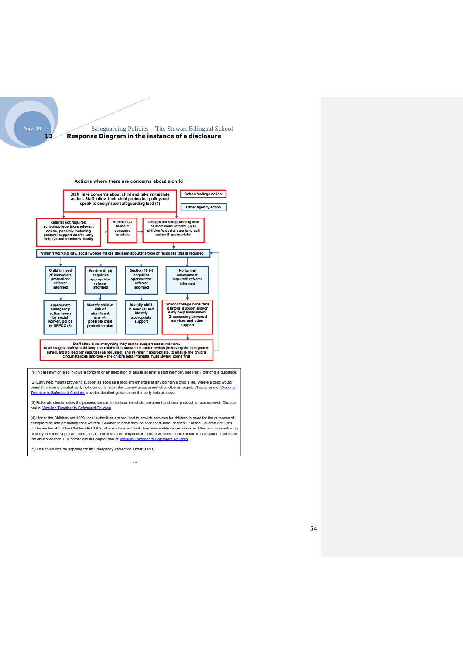

#### Safeguarding Policies – The Stewart Bilingual School **13 Response Diagram in the instance of a disclosure**





(3) Referrals should follow the process set out in the local threshold document and local protocol for assessment. Chapter one of Working Together to Safeguard Children.

(4) Under the Children Act 1989, local authorities are required to provide services for children in need for the purposes of exponential promoting their welfare. Children in need may be assessed under section 17 of the Children Act 1989.<br>Under section 47 of the Children Act 1989, where a local authority has reasonable cause to suspect that a chi or likely to suffer significant harm, it has a duty to make enquiries to decide whether to take action to safeguard or promote<br>the child's welfare. Full details are in Chapter one of Working Together to Safeguard Children.

(5) This could include applying for an Emergency Protection Order (EPO).

 $\overline{a}$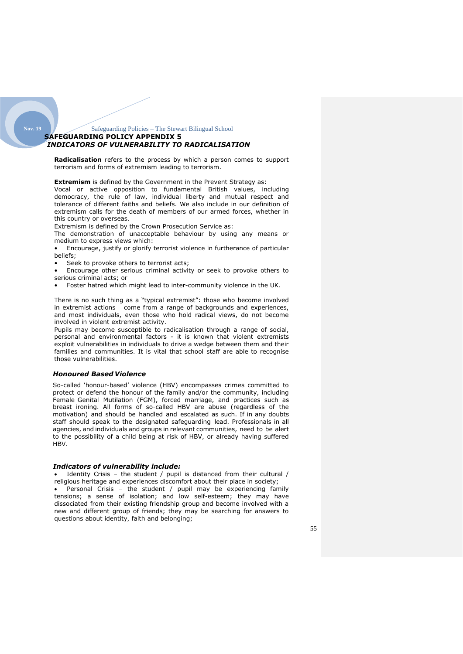#### Safeguarding Policies – The Stewart Bilingual School **SAFEGUARDING POLICY APPENDIX 5** *INDICATORS OF VULNERABILITY TO RADICALISATION*

**Radicalisation** refers to the process by which a person comes to support terrorism and forms of extremism leading to terrorism.

**Extremism** is defined by the Government in the Prevent Strategy as:

Vocal or active opposition to fundamental British values, including democracy, the rule of law, individual liberty and mutual respect and tolerance of different faiths and beliefs. We also include in our definition of extremism calls for the death of members of our armed forces, whether in this country or overseas.

Extremism is defined by the Crown Prosecution Service as:

The demonstration of unacceptable behaviour by using any means or medium to express views which:

• Encourage, justify or glorify terrorist violence in furtherance of particular beliefs;

Seek to provoke others to terrorist acts;

• Encourage other serious criminal activity or seek to provoke others to serious criminal acts; or

• Foster hatred which might lead to inter-community violence in the UK.

There is no such thing as a "typical extremist": those who become involved in extremist actions come from a range of backgrounds and experiences, and most individuals, even those who hold radical views, do not become involved in violent extremist activity.

Pupils may become susceptible to radicalisation through a range of social, personal and environmental factors - it is known that violent extremists exploit vulnerabilities in individuals to drive a wedge between them and their families and communities. It is vital that school staff are able to recognise those vulnerabilities.

#### *Honoured Based Violence*

<span id="page-54-0"></span>**Nov. 19**

So-called 'honour-based' violence (HBV) encompasses crimes committed to protect or defend the honour of the family and/or the community, including Female Genital Mutilation (FGM), forced marriage, and practices such as breast ironing. All forms of so-called HBV are abuse (regardless of the motivation) and should be handled and escalated as such. If in any doubts staff should speak to the designated safeguarding lead. Professionals in all agencies, and individuals and groups in relevant communities, need to be alert to the possibility of a child being at risk of HBV, or already having suffered HBV.

#### *Indicators of vulnerability include:*

Identity Crisis - the student / pupil is distanced from their cultural / religious heritage and experiences discomfort about their place in society;

• Personal Crisis – the student / pupil may be experiencing family tensions; a sense of isolation; and low self-esteem; they may have dissociated from their existing friendship group and become involved with a new and different group of friends; they may be searching for answers to questions about identity, faith and belonging;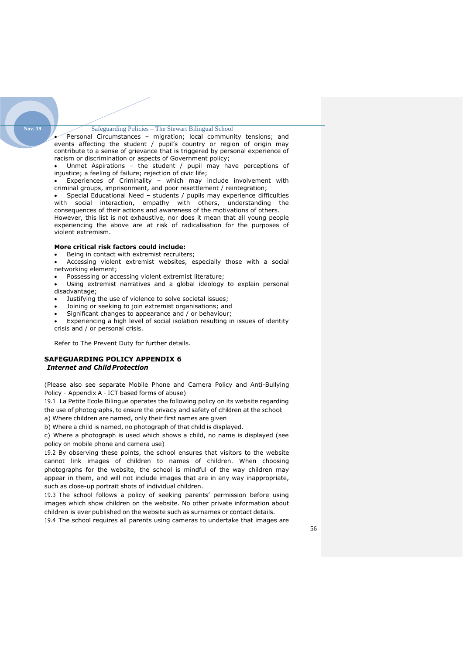Personal Circumstances - migration; local community tensions; and events affecting the student / pupil's country or region of origin may contribute to a sense of grievance that is triggered by personal experience of racism or discrimination or aspects of Government policy;

Unmet Aspirations - the student / pupil may have perceptions of injustice; a feeling of failure; rejection of civic life;

• Experiences of Criminality – which may include involvement with criminal groups, imprisonment, and poor resettlement / reintegration;

• Special Educational Need – students / pupils may experience difficulties with social interaction, empathy with others, understanding the consequences of their actions and awareness of the motivations of others. However, this list is not exhaustive, nor does it mean that all young people experiencing the above are at risk of radicalisation for the purposes of

#### **More critical risk factors could include:**

violent extremism.

Being in contact with extremist recruiters;

Accessing violent extremist websites, especially those with a social networking element;

Possessing or accessing violent extremist literature;

- Using extremist narratives and a global ideology to explain personal disadvantage;
- Justifying the use of violence to solve societal issues;
- Joining or seeking to join extremist organisations; and
- Significant changes to appearance and / or behaviour;
- Experiencing a high level of social isolation resulting in issues of identity crisis and / or personal crisis.

Refer to The Prevent Duty for further details.

#### <span id="page-55-0"></span>**SAFEGUARDING POLICY APPENDIX 6** *Internet and Child Protection*

(Please also see separate Mobile Phone and Camera Policy and Anti-Bullying Policy - Appendix A - ICT based forms of abuse)

19.1 La Petite Ecole Bilingue operates the following policy on its website regarding the use of photographs, to ensure the privacy and safety of children at the school: a) Where children are named, only their first names are given

b) Where a child is named, no photograph of that child is displayed.

c) Where a photograph is used which shows a child, no name is displayed (see policy on mobile phone and camera use)

19.2 By observing these points, the school ensures that visitors to the website cannot link images of children to names of children. When choosing photographs for the website, the school is mindful of the way children may appear in them, and will not include images that are in any way inappropriate, such as close-up portrait shots of individual children.

19.3 The school follows a policy of seeking parents' permission before using images which show children on the website. No other private information about children is ever published on the website such as surnames or contact details.

19.4 The school requires all parents using cameras to undertake that images are

**Nov. 19**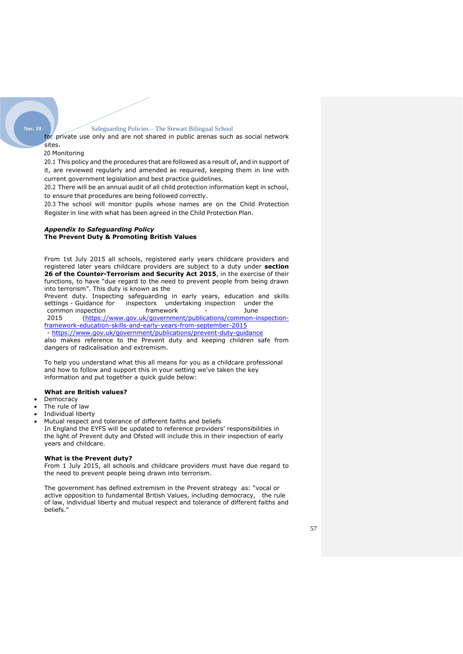for private use only and are not shared in public arenas such as social network sites.

#### 20 Monitoring

20.1 This policy and the procedures that are followed as a result of, and in support of it, are reviewed regularly and amended as required, keeping them in line with current government legislation and best practice guidelines.

20.2 There will be an annual audit of all child protection information kept in school, to ensure that procedures are being followed correctly.

20.3 The school will monitor pupils whose names are on the Child Protection Register in line with what has been agreed in the Child Protection Plan.

#### *Appendix to Safeguarding Policy* **The Prevent Duty & Promoting British Values**

From 1st July 2015 all schools, registered early years childcare providers and registered later years childcare providers are subject to a duty under **section 26 of the Counter-Terrorism and Security Act 2015**, in the exercise of their functions, to have "due regard to the need to prevent people from being drawn into terrorism". This duty is known as the

Prevent duty. Inspecting safeguarding in early years, education and skills settings - Guidance for inspectors undertaing inspection under the inspectors undertaking inspection common inspection framework - June<br>2015 (https://www.gov.uk/government/publications/common-i

2015 [\(https://www.gov.uk/government/publications/common-inspection](https://www.gov.uk/government/publications/common-inspection-%20framework-education-skills-and-early-years-from-september-2015)[framework-education-skills-and-early-years-from-september-2015](https://www.gov.uk/government/publications/common-inspection-%20framework-education-skills-and-early-years-from-september-2015) - <https://www.gov.uk/government/publications/prevent-duty-guidance>

also makes reference to the Prevent duty and keeping children safe from dangers of radicalisation and extremism.

To help you understand what this all means for you as a childcare professional and how to follow and support this in your setting we've taken the key information and put together a quick guide below:

#### **What are British values?**

**Democracy** 

## The rule of law

• Individual liberty

• Mutual respect and tolerance of different faiths and beliefs In England the EYFS will be updated to reference providers' responsibilities in the light of Prevent duty and Ofsted will include this in their inspection of early years and childcare.

#### **What is the Prevent duty?**

From 1 July 2015, all schools and childcare providers must have due regard to the need to prevent people being drawn into terrorism.

The government has defined extremism in the Prevent strategy as: "vocal or active opposition to fundamental British Values, including democracy, the rule of law, individual liberty and mutual respect and tolerance of different faiths and beliefs."

#### **Nov. 19**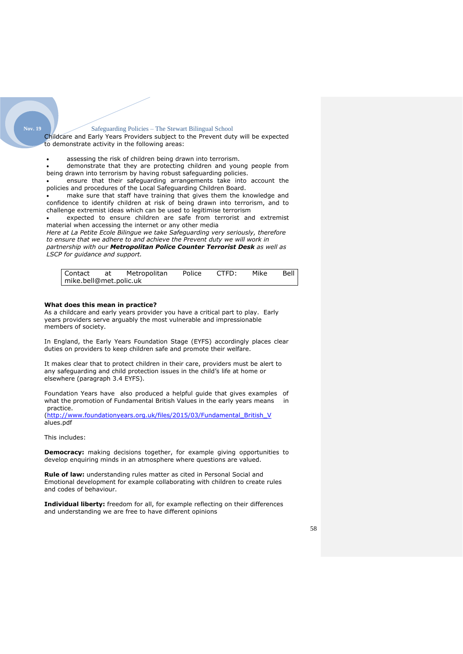Childcare and Early Years Providers subject to the Prevent duty will be expected to demonstrate activity in the following areas:

- assessing the risk of children being drawn into terrorism.
- demonstrate that they are protecting children and young people from being drawn into terrorism by having robust safeguarding policies.

• ensure that their safeguarding arrangements take into account the policies and procedures of the Local Safeguarding Children Board.

make sure that staff have training that gives them the knowledge and confidence to identify children at risk of being drawn into terrorism, and to challenge extremist ideas which can be used to legitimise terrorism

expected to ensure children are safe from terrorist and extremist material when accessing the internet or any other media

*Here at La Petite Ecole Bilingue we take Safeguarding very seriously, therefore to ensure that we adhere to and achieve the Prevent duty we will work in partnership with our Metropolitan Police Counter Terrorist Desk as well as LSCP for guidance and support.*

|                        |  | Contact at Metropolitan | Police CTFD: |  | Mike | Bell |  |  |
|------------------------|--|-------------------------|--------------|--|------|------|--|--|
| mike.bell@met.polic.uk |  |                         |              |  |      |      |  |  |

#### **What does this mean in practice?**

As a childcare and early years provider you have a critical part to play. Early years providers serve arguably the most vulnerable and impressionable members of society.

In England, the Early Years Foundation Stage (EYFS) accordingly places clear duties on providers to keep children safe and promote their welfare.

It makes clear that to protect children in their care, providers must be alert to any safeguarding and child protection issues in the child's life at home or elsewhere (paragraph 3.4 EYFS).

Foundation Years have also produced a helpful guide that gives examples of what the promotion of Fundamental British Values in the early years means in practice.

[\(http://www.foundationyears.org.uk/files/2015/03/Fundamental\\_British\\_V](http://www.foundationyears.org.uk/files/2015/03/Fundamental_British_V) alues.pdf

This includes:

**Nov. 19**

**Democracy:** making decisions together, for example giving opportunities to develop enquiring minds in an atmosphere where questions are valued.

**Rule of law:** understanding rules matter as cited in Personal Social and Emotional development for example collaborating with children to create rules and codes of behaviour.

**Individual liberty:** freedom for all, for example reflecting on their differences and understanding we are free to have different opinions